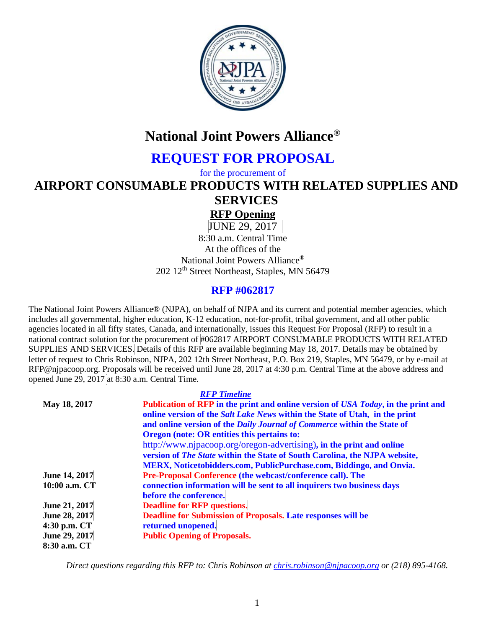

# **National Joint Powers Alliance®**

# **REQUEST FOR PROPOSAL**

for the procurement of

**AIRPORT CONSUMABLE PRODUCTS WITH RELATED SUPPLIES AND SERVICES**

# **RFP Opening**

JUNE 29, 2017

8:30 a.m. Central Time At the offices of the National Joint Powers Alliance® 202 12<sup>th</sup> Street Northeast, Staples, MN 56479

# **RFP #062817**

The National Joint Powers Alliance® (NJPA), on behalf of NJPA and its current and potential member agencies, which includes all governmental, higher education, K-12 education, not-for-profit, tribal government, and all other public agencies located in all fifty states, Canada, and internationally, issues this Request For Proposal (RFP) to result in a national contract solution for the procurement of #062817 AIRPORT CONSUMABLE PRODUCTS WITH RELATED SUPPLIES AND SERVICES. Details of this RFP are available beginning May 18, 2017. Details may be obtained by letter of request to Chris Robinson, NJPA, 202 12th Street Northeast, P.O. Box 219, Staples, MN 56479, or by e-mail at RFP@njpacoop.org. Proposals will be received until June 28, 2017 at 4:30 p.m. Central Time at the above address and opened June 29, 2017 at 8:30 a.m. Central Time.

*RFP Timeline*

|               | <b>KFP</b> lumeline                                                                       |
|---------------|-------------------------------------------------------------------------------------------|
| May 18, 2017  | Publication of RFP in the print and online version of USA Today, in the print and         |
|               | online version of the <i>Salt Lake News</i> within the <i>State</i> of Utah, in the print |
|               | and online version of the Daily Journal of Commerce within the State of                   |
|               | Oregon (note: OR entities this pertains to:                                               |
|               | http://www.njpacoop.org/oregon-advertising), in the print and online                      |
|               | version of The State within the State of South Carolina, the NJPA website,                |
|               | MERX, Noticetobidders.com, PublicPurchase.com, Biddingo, and Onvia.                       |
| June 14, 2017 | <b>Pre-Proposal Conference (the webcast/conference call). The</b>                         |
| 10:00 a.m. CT | connection information will be sent to all inquirers two business days                    |
|               | before the conference.                                                                    |
| June 21, 2017 | <b>Deadline for RFP questions.</b>                                                        |
| June 28, 2017 | Deadline for Submission of Proposals. Late responses will be                              |
| 4:30 p.m. CT  | returned unopened.                                                                        |
| June 29, 2017 | <b>Public Opening of Proposals.</b>                                                       |
| 8:30 a.m. CT  |                                                                                           |

*Direct questions regarding this RFP to: Chris Robinson at [chris.robinson@njpacoop.org](mailto:chris.robinson@njpacoop.org) or (218) 895-4168.*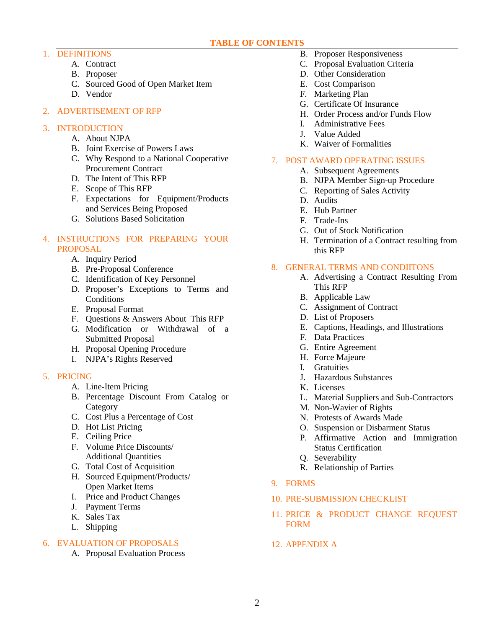## **TABLE OF CONTENTS**

- 1. DEFINITIONS
	- A. Contract
	- B. Proposer
	- C. Sourced Good of Open Market Item
	- D. Vendor
- 2. ADVERTISEMENT OF RFP

# 3. INTRODUCTION

- A. About NJPA
- B. Joint Exercise of Powers Laws
- C. Why Respond to a National Cooperative Procurement Contract
- D. The Intent of This RFP
- E. Scope of This RFP
- F. Expectations for Equipment/Products and Services Being Proposed
- G. Solutions Based Solicitation

# 4. INSTRUCTIONS FOR PREPARING YOUR PROPOSAL

- A. Inquiry Period
- B. Pre-Proposal Conference
- C. Identification of Key Personnel
- D. Proposer's Exceptions to Terms and Conditions
- E. Proposal Format
- F. Questions & Answers About This RFP
- G. Modification or Withdrawal of a Submitted Proposal
- H. Proposal Opening Procedure
- I. NJPA's Rights Reserved

# 5. PRICING

- A. Line-Item Pricing
- B. Percentage Discount From Catalog or **Category**
- C. Cost Plus a Percentage of Cost
- D. Hot List Pricing
- E. Ceiling Price
- F. Volume Price Discounts/ Additional Quantities
- G. Total Cost of Acquisition
- H. Sourced Equipment/Products/ Open Market Items
- I. Price and Product Changes
- J. Payment Terms
- K. Sales Tax
- L. Shipping

# 6. EVALUATION OF PROPOSALS

A. Proposal Evaluation Process

- B. Proposer Responsiveness
- C. Proposal Evaluation Criteria
- D. Other Consideration
- E. Cost Comparison
- F. Marketing Plan
- G. Certificate Of Insurance
- H. Order Process and/or Funds Flow
- I. Administrative Fees
- J. Value Added
- K. Waiver of Formalities

# 7. POST AWARD OPERATING ISSUES

- A. Subsequent Agreements
- B. NJPA Member Sign-up Procedure
- C. Reporting of Sales Activity
- D. Audits
- E. Hub Partner
- F. Trade-Ins
- G. Out of Stock Notification
- H. Termination of a Contract resulting from this RFP

# 8. GENERAL TERMS AND CONDIITONS

- A. Advertising a Contract Resulting From This RFP
- B. Applicable Law
- C. Assignment of Contract
- D. List of Proposers
- E. Captions, Headings, and Illustrations
- F. Data Practices
- G. Entire Agreement
- H. Force Majeure
- I. Gratuities
- J. Hazardous Substances
- K. Licenses
- L. Material Suppliers and Sub-Contractors
- M. Non-Wavier of Rights
- N. Protests of Awards Made
- O. Suspension or Disbarment Status
- P. Affirmative Action and Immigration Status Certification
- Q. Severability
- R. Relationship of Parties
- 9. FORMS

# 10. PRE-SUBMISSION CHECKLIST

- 11. PRICE & PRODUCT CHANGE REQUEST FORM
- 12. APPENDIX A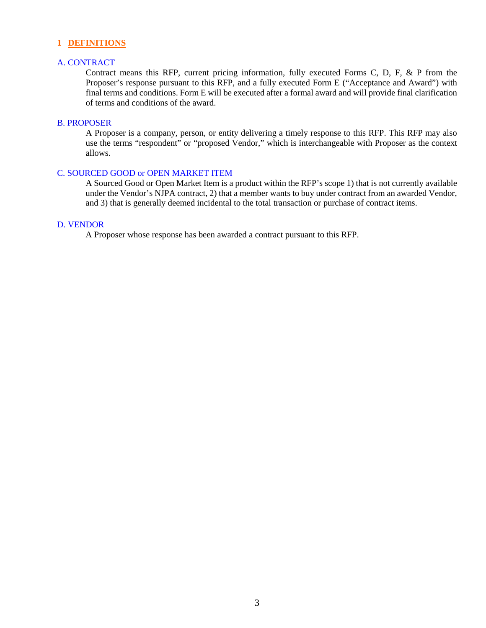#### **1 DEFINITIONS**

#### A. CONTRACT

Contract means this RFP, current pricing information, fully executed Forms C, D, F, & P from the Proposer's response pursuant to this RFP, and a fully executed Form E ("Acceptance and Award") with final terms and conditions. Form E will be executed after a formal award and will provide final clarification of terms and conditions of the award.

## B. PROPOSER

A Proposer is a company, person, or entity delivering a timely response to this RFP. This RFP may also use the terms "respondent" or "proposed Vendor," which is interchangeable with Proposer as the context allows.

#### C. SOURCED GOOD or OPEN MARKET ITEM

A Sourced Good or Open Market Item is a product within the RFP's scope 1) that is not currently available under the Vendor's NJPA contract, 2) that a member wants to buy under contract from an awarded Vendor, and 3) that is generally deemed incidental to the total transaction or purchase of contract items.

#### D. VENDOR

A Proposer whose response has been awarded a contract pursuant to this RFP.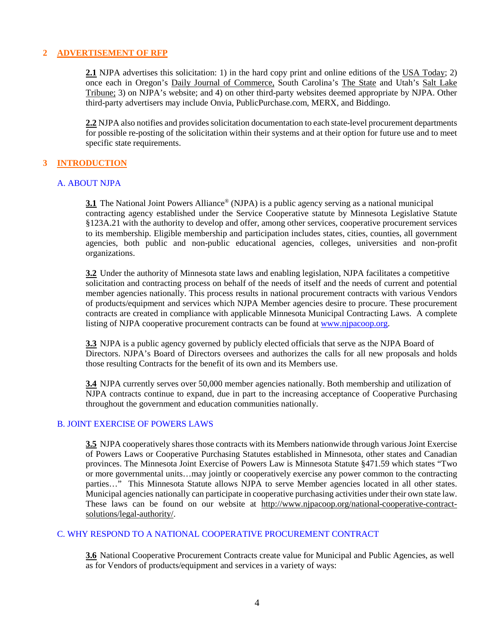## **2 ADVERTISEMENT OF RFP**

**2.1** NJPA advertises this solicitation: 1) in the hard copy print and online editions of the USA Today; 2) once each in Oregon's Daily Journal of Commerce, South Carolina's The State and Utah's Salt Lake Tribune; 3) on NJPA's website; and 4) on other third-party websites deemed appropriate by NJPA. Other third-party advertisers may include Onvia, PublicPurchase.com, MERX, and Biddingo.

**2.2** NJPA also notifies and provides solicitation documentation to each state-level procurement departments for possible re-posting of the solicitation within their systems and at their option for future use and to meet specific state requirements.

# **3 INTRODUCTION**

#### A. ABOUT NJPA

**3.1** The National Joint Powers Alliance<sup>®</sup> (NJPA) is a public agency serving as a national municipal contracting agency established under the Service Cooperative statute by Minnesota Legislative Statute §123A.21 with the authority to develop and offer, among other services, cooperative procurement services to its membership. Eligible membership and participation includes states, cities, counties, all government agencies, both public and non-public educational agencies, colleges, universities and non-profit organizations.

**3.2** Under the authority of Minnesota state laws and enabling legislation, NJPA facilitates a competitive solicitation and contracting process on behalf of the needs of itself and the needs of current and potential member agencies nationally. This process results in national procurement contracts with various Vendors of products/equipment and services which NJPA Member agencies desire to procure. These procurement contracts are created in compliance with applicable Minnesota Municipal Contracting Laws. A complete listing of NJPA cooperative procurement contracts can be found at [www.njpacoop.org.](http://www.njpacoop.org/)

**3.3** NJPA is a public agency governed by publicly elected officials that serve as the NJPA Board of Directors. NJPA's Board of Directors oversees and authorizes the calls for all new proposals and holds those resulting Contracts for the benefit of its own and its Members use.

**3.4** NJPA currently serves over 50,000 member agencies nationally. Both membership and utilization of NJPA contracts continue to expand, due in part to the increasing acceptance of Cooperative Purchasing throughout the government and education communities nationally.

#### B. JOINT EXERCISE OF POWERS LAWS

**3.5** NJPA cooperatively shares those contracts with its Members nationwide through various Joint Exercise of Powers Laws or Cooperative Purchasing Statutes established in Minnesota, other states and Canadian provinces. The Minnesota Joint Exercise of Powers Law is Minnesota Statute §471.59 which states "Two or more governmental units…may jointly or cooperatively exercise any power common to the contracting parties…" This Minnesota Statute allows NJPA to serve Member agencies located in all other states. Municipal agencies nationally can participate in cooperative purchasing activities under their own state law. These laws can be found on our website at [http://www.njpacoop.org/national-cooperative-contract](http://www.njpacoop.org/national-cooperative-contract-solutions/legal-authority/)[solutions/legal-authority/.](http://www.njpacoop.org/national-cooperative-contract-solutions/legal-authority/)

#### C. WHY RESPOND TO A NATIONAL COOPERATIVE PROCUREMENT CONTRACT

**3.6** National Cooperative Procurement Contracts create value for Municipal and Public Agencies, as well as for Vendors of products/equipment and services in a variety of ways: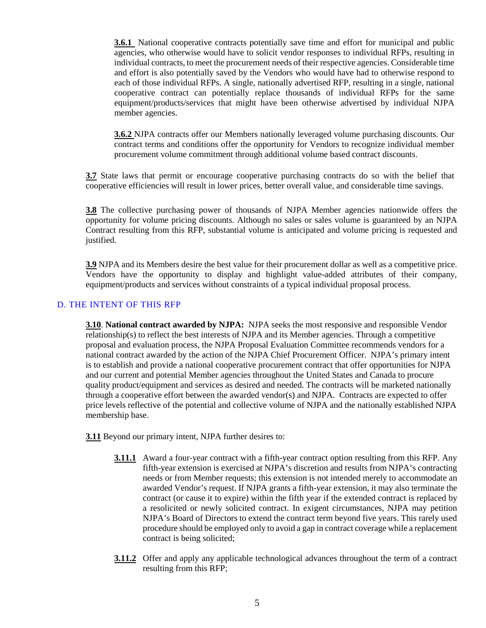**3.6.1** National cooperative contracts potentially save time and effort for municipal and public agencies, who otherwise would have to solicit vendor responses to individual RFPs, resulting in individual contracts, to meet the procurement needs of their respective agencies. Considerable time and effort is also potentially saved by the Vendors who would have had to otherwise respond to each of those individual RFPs. A single, nationally advertised RFP, resulting in a single, national cooperative contract can potentially replace thousands of individual RFPs for the same equipment/products/services that might have been otherwise advertised by individual NJPA member agencies.

**3.6.2** NJPA contracts offer our Members nationally leveraged volume purchasing discounts. Our contract terms and conditions offer the opportunity for Vendors to recognize individual member procurement volume commitment through additional volume based contract discounts.

**3.7** State laws that permit or encourage cooperative purchasing contracts do so with the belief that cooperative efficiencies will result in lower prices, better overall value, and considerable time savings.

**3.8** The collective purchasing power of thousands of NJPA Member agencies nationwide offers the opportunity for volume pricing discounts. Although no sales or sales volume is guaranteed by an NJPA Contract resulting from this RFP, substantial volume is anticipated and volume pricing is requested and justified.

**3.9** NJPA and its Members desire the best value for their procurement dollar as well as a competitive price. Vendors have the opportunity to display and highlight value-added attributes of their company, equipment/products and services without constraints of a typical individual proposal process.

#### D. THE INTENT OF THIS RFP

**3.10**. **National contract awarded by NJPA:** NJPA seeks the most responsive and responsible Vendor relationship(s) to reflect the best interests of NJPA and its Member agencies. Through a competitive proposal and evaluation process, the NJPA Proposal Evaluation Committee recommends vendors for a national contract awarded by the action of the NJPA Chief Procurement Officer. NJPA's primary intent is to establish and provide a national cooperative procurement contract that offer opportunities for NJPA and our current and potential Member agencies throughout the United States and Canada to procure quality product/equipment and services as desired and needed. The contracts will be marketed nationally through a cooperative effort between the awarded vendor(s) and NJPA. Contracts are expected to offer price levels reflective of the potential and collective volume of NJPA and the nationally established NJPA membership base.

**3.11** Beyond our primary intent, NJPA further desires to:

- **3.11.1** Award a four-year contract with a fifth-year contract option resulting from this RFP. Any fifth-year extension is exercised at NJPA's discretion and results from NJPA's contracting needs or from Member requests; this extension is not intended merely to accommodate an awarded Vendor's request. If NJPA grants a fifth-year extension, it may also terminate the contract (or cause it to expire) within the fifth year if the extended contract is replaced by a resolicited or newly solicited contract. In exigent circumstances, NJPA may petition NJPA's Board of Directors to extend the contract term beyond five years. This rarely used procedure should be employed only to avoid a gap in contract coverage while a replacement contract is being solicited;
- **3.11.2** Offer and apply any applicable technological advances throughout the term of a contract resulting from this RFP;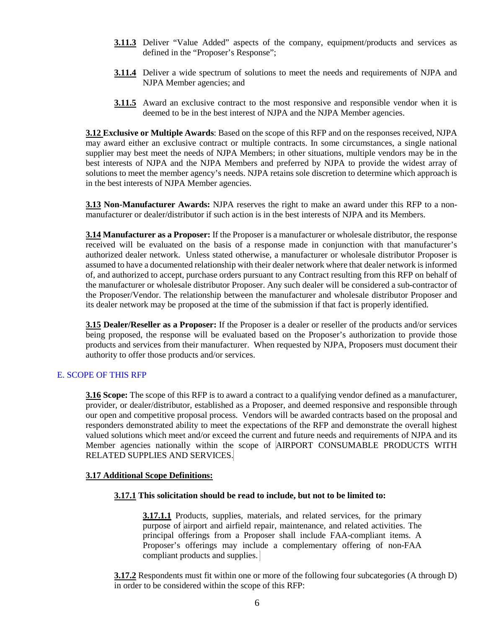- **3.11.3** Deliver "Value Added" aspects of the company, equipment/products and services as defined in the "Proposer's Response";
- **3.11.4** Deliver a wide spectrum of solutions to meet the needs and requirements of NJPA and NJPA Member agencies; and
- **3.11.5** Award an exclusive contract to the most responsive and responsible vendor when it is deemed to be in the best interest of NJPA and the NJPA Member agencies.

**3.12 Exclusive or Multiple Awards**: Based on the scope of this RFP and on the responses received, NJPA may award either an exclusive contract or multiple contracts. In some circumstances, a single national supplier may best meet the needs of NJPA Members; in other situations, multiple vendors may be in the best interests of NJPA and the NJPA Members and preferred by NJPA to provide the widest array of solutions to meet the member agency's needs. NJPA retains sole discretion to determine which approach is in the best interests of NJPA Member agencies.

**3.13 Non-Manufacturer Awards:** NJPA reserves the right to make an award under this RFP to a nonmanufacturer or dealer/distributor if such action is in the best interests of NJPA and its Members.

**3.14 Manufacturer as a Proposer:** If the Proposer is a manufacturer or wholesale distributor, the response received will be evaluated on the basis of a response made in conjunction with that manufacturer's authorized dealer network. Unless stated otherwise, a manufacturer or wholesale distributor Proposer is assumed to have a documented relationship with their dealer network where that dealer network is informed of, and authorized to accept, purchase orders pursuant to any Contract resulting from this RFP on behalf of the manufacturer or wholesale distributor Proposer. Any such dealer will be considered a sub-contractor of the Proposer/Vendor. The relationship between the manufacturer and wholesale distributor Proposer and its dealer network may be proposed at the time of the submission if that fact is properly identified.

**3.15 Dealer/Reseller as a Proposer:** If the Proposer is a dealer or reseller of the products and/or services being proposed, the response will be evaluated based on the Proposer's authorization to provide those products and services from their manufacturer. When requested by NJPA, Proposers must document their authority to offer those products and/or services.

#### E. SCOPE OF THIS RFP

**3.16 Scope:** The scope of this RFP is to award a contract to a qualifying vendor defined as a manufacturer, provider, or dealer/distributor, established as a Proposer, and deemed responsive and responsible through our open and competitive proposal process. Vendors will be awarded contracts based on the proposal and responders demonstrated ability to meet the expectations of the RFP and demonstrate the overall highest valued solutions which meet and/or exceed the current and future needs and requirements of NJPA and its Member agencies nationally within the scope of AIRPORT CONSUMABLE PRODUCTS WITH RELATED SUPPLIES AND SERVICES.

#### **3.17 Additional Scope Definitions:**

#### **3.17.1 This solicitation should be read to include, but not to be limited to:**

**3.17.1.1** Products, supplies, materials, and related services, for the primary purpose of airport and airfield repair, maintenance, and related activities. The principal offerings from a Proposer shall include FAA-compliant items. A Proposer's offerings may include a complementary offering of non-FAA compliant products and supplies.

**3.17.2** Respondents must fit within one or more of the following four subcategories (A through D) in order to be considered within the scope of this RFP: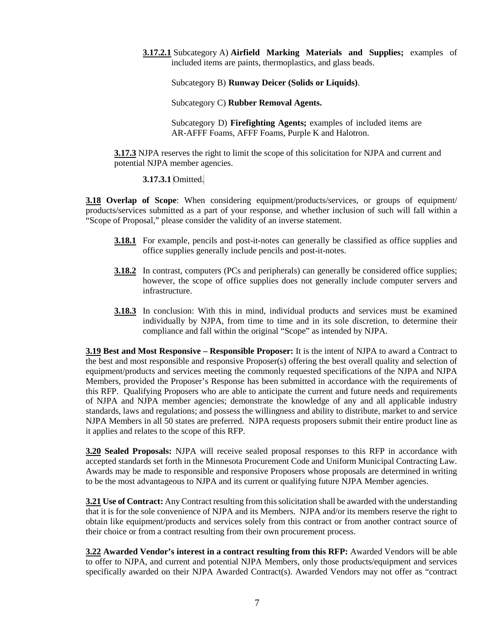**3.17.2.1** Subcategory A) **Airfield Marking Materials and Supplies;** examples of included items are paints, thermoplastics, and glass beads.

Subcategory B) **Runway Deicer (Solids or Liquids)**.

Subcategory C) **Rubber Removal Agents.**

Subcategory D) **Firefighting Agents;** examples of included items are AR-AFFF Foams, AFFF Foams, Purple K and Halotron.

**3.17.3** NJPA reserves the right to limit the scope of this solicitation for NJPA and current and potential NJPA member agencies.

**3.17.3.1** Omitted.

**3.18 Overlap of Scope**: When considering equipment/products/services, or groups of equipment/ products/services submitted as a part of your response, and whether inclusion of such will fall within a "Scope of Proposal," please consider the validity of an inverse statement.

- **3.18.1** For example, pencils and post-it-notes can generally be classified as office supplies and office supplies generally include pencils and post-it-notes.
- **3.18.2** In contrast, computers (PCs and peripherals) can generally be considered office supplies; however, the scope of office supplies does not generally include computer servers and infrastructure.
- **3.18.3** In conclusion: With this in mind, individual products and services must be examined individually by NJPA, from time to time and in its sole discretion, to determine their compliance and fall within the original "Scope" as intended by NJPA.

**3.19 Best and Most Responsive – Responsible Proposer:** It is the intent of NJPA to award a Contract to the best and most responsible and responsive Proposer(s) offering the best overall quality and selection of equipment/products and services meeting the commonly requested specifications of the NJPA and NJPA Members, provided the Proposer's Response has been submitted in accordance with the requirements of this RFP. Qualifying Proposers who are able to anticipate the current and future needs and requirements of NJPA and NJPA member agencies; demonstrate the knowledge of any and all applicable industry standards, laws and regulations; and possess the willingness and ability to distribute, market to and service NJPA Members in all 50 states are preferred. NJPA requests proposers submit their entire product line as it applies and relates to the scope of this RFP.

**3.20 Sealed Proposals:** NJPA will receive sealed proposal responses to this RFP in accordance with accepted standards set forth in the Minnesota Procurement Code and Uniform Municipal Contracting Law. Awards may be made to responsible and responsive Proposers whose proposals are determined in writing to be the most advantageous to NJPA and its current or qualifying future NJPA Member agencies.

**3.21 Use of Contract:** Any Contract resulting from this solicitation shall be awarded with the understanding that it is for the sole convenience of NJPA and its Members. NJPA and/or its members reserve the right to obtain like equipment/products and services solely from this contract or from another contract source of their choice or from a contract resulting from their own procurement process.

**3.22 Awarded Vendor's interest in a contract resulting from this RFP:** Awarded Vendors will be able to offer to NJPA, and current and potential NJPA Members, only those products/equipment and services specifically awarded on their NJPA Awarded Contract(s). Awarded Vendors may not offer as "contract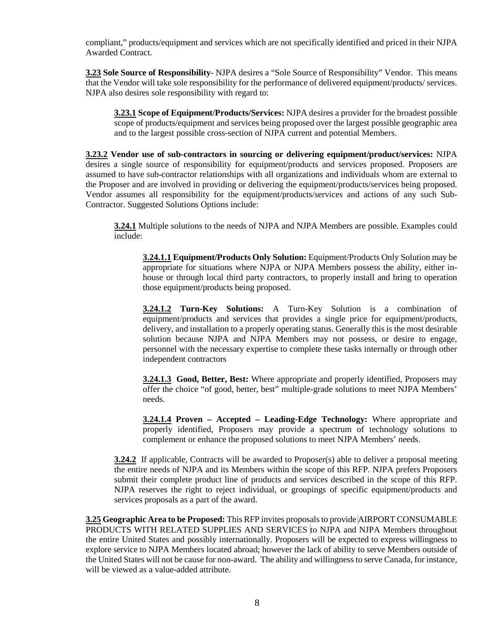compliant," products/equipment and services which are not specifically identified and priced in their NJPA Awarded Contract.

**3.23 Sole Source of Responsibility**- NJPA desires a "Sole Source of Responsibility" Vendor. This means that the Vendor will take sole responsibility for the performance of delivered equipment/products/ services. NJPA also desires sole responsibility with regard to:

**3.23.1 Scope of Equipment/Products/Services:** NJPA desires a provider for the broadest possible scope of products/equipment and services being proposed over the largest possible geographic area and to the largest possible cross-section of NJPA current and potential Members.

**3.23.2 Vendor use of sub-contractors in sourcing or delivering equipment/product/services:** NJPA desires a single source of responsibility for equipment/products and services proposed. Proposers are assumed to have sub-contractor relationships with all organizations and individuals whom are external to the Proposer and are involved in providing or delivering the equipment/products/services being proposed. Vendor assumes all responsibility for the equipment/products/services and actions of any such Sub-Contractor. Suggested Solutions Options include:

**3.24.1** Multiple solutions to the needs of NJPA and NJPA Members are possible. Examples could include:

**3.24.1.1 Equipment/Products Only Solution:** Equipment/Products Only Solution may be appropriate for situations where NJPA or NJPA Members possess the ability, either inhouse or through local third party contractors, to properly install and bring to operation those equipment/products being proposed.

**3.24.1.2 Turn-Key Solutions:** A Turn-Key Solution is a combination of equipment/products and services that provides a single price for equipment/products, delivery, and installation to a properly operating status. Generally this is the most desirable solution because NJPA and NJPA Members may not possess, or desire to engage, personnel with the necessary expertise to complete these tasks internally or through other independent contractors

**3.24.1.3 Good, Better, Best:** Where appropriate and properly identified, Proposers may offer the choice "of good, better, best" multiple-grade solutions to meet NJPA Members' needs.

**3.24.1.4 Proven – Accepted – Leading-Edge Technology:** Where appropriate and properly identified, Proposers may provide a spectrum of technology solutions to complement or enhance the proposed solutions to meet NJPA Members' needs.

**3.24.2** If applicable, Contracts will be awarded to Proposer(s) able to deliver a proposal meeting the entire needs of NJPA and its Members within the scope of this RFP. NJPA prefers Proposers submit their complete product line of products and services described in the scope of this RFP. NJPA reserves the right to reject individual, or groupings of specific equipment/products and services proposals as a part of the award.

**3.25 Geographic Area to be Proposed:** This RFP invites proposalsto provide AIRPORT CONSUMABLE PRODUCTS WITH RELATED SUPPLIES AND SERVICES to NJPA and NJPA Members throughout the entire United States and possibly internationally. Proposers will be expected to express willingness to explore service to NJPA Members located abroad; however the lack of ability to serve Members outside of the United States will not be cause for non-award. The ability and willingness to serve Canada, for instance, will be viewed as a value-added attribute.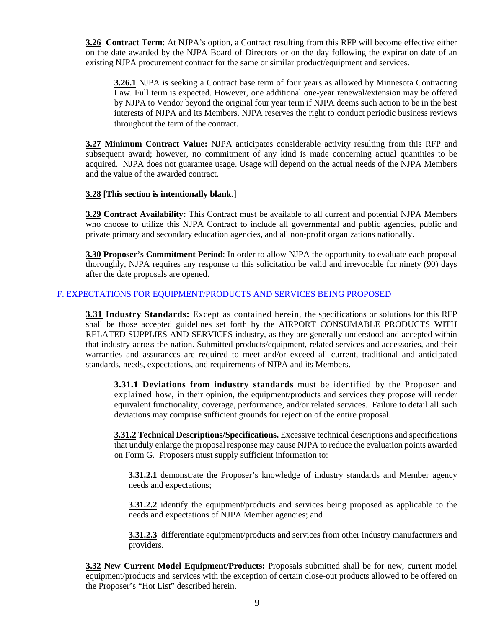**3.26 Contract Term**: At NJPA's option, a Contract resulting from this RFP will become effective either on the date awarded by the NJPA Board of Directors or on the day following the expiration date of an existing NJPA procurement contract for the same or similar product/equipment and services.

**3.26.1** NJPA is seeking a Contract base term of four years as allowed by Minnesota Contracting Law. Full term is expected. However, one additional one-year renewal/extension may be offered by NJPA to Vendor beyond the original four year term if NJPA deems such action to be in the best interests of NJPA and its Members. NJPA reserves the right to conduct periodic business reviews throughout the term of the contract.

**3.27 Minimum Contract Value:** NJPA anticipates considerable activity resulting from this RFP and subsequent award; however, no commitment of any kind is made concerning actual quantities to be acquired. NJPA does not guarantee usage. Usage will depend on the actual needs of the NJPA Members and the value of the awarded contract.

# **3.28 [This section is intentionally blank.]**

**3.29 Contract Availability:** This Contract must be available to all current and potential NJPA Members who choose to utilize this NJPA Contract to include all governmental and public agencies, public and private primary and secondary education agencies, and all non-profit organizations nationally.

**3.30 Proposer's Commitment Period**: In order to allow NJPA the opportunity to evaluate each proposal thoroughly, NJPA requires any response to this solicitation be valid and irrevocable for ninety (90) days after the date proposals are opened.

# F. EXPECTATIONS FOR EQUIPMENT/PRODUCTS AND SERVICES BEING PROPOSED

**3.31 Industry Standards:** Except as contained herein, the specifications or solutions for this RFP shall be those accepted guidelines set forth by the AIRPORT CONSUMABLE PRODUCTS WITH RELATED SUPPLIES AND SERVICES industry, as they are generally understood and accepted within that industry across the nation. Submitted products/equipment, related services and accessories, and their warranties and assurances are required to meet and/or exceed all current, traditional and anticipated standards, needs, expectations, and requirements of NJPA and its Members.

**3.31.1 Deviations from industry standards** must be identified by the Proposer and explained how, in their opinion, the equipment/products and services they propose will render equivalent functionality, coverage, performance, and/or related services. Failure to detail all such deviations may comprise sufficient grounds for rejection of the entire proposal.

**3.31.2 Technical Descriptions/Specifications.** Excessive technical descriptions and specifications that unduly enlarge the proposal response may cause NJPA to reduce the evaluation points awarded on Form G. Proposers must supply sufficient information to:

**3.31.2.1** demonstrate the Proposer's knowledge of industry standards and Member agency needs and expectations;

**3.31.2.2** identify the equipment/products and services being proposed as applicable to the needs and expectations of NJPA Member agencies; and

**3.31.2.3** differentiate equipment/products and services from other industry manufacturers and providers.

**3.32 New Current Model Equipment/Products:** Proposals submitted shall be for new, current model equipment/products and services with the exception of certain close-out products allowed to be offered on the Proposer's "Hot List" described herein.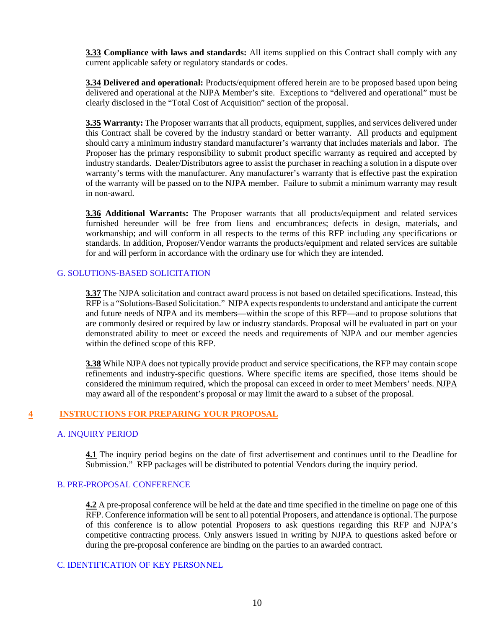**3.33 Compliance with laws and standards:** All items supplied on this Contract shall comply with any current applicable safety or regulatory standards or codes.

**3.34 Delivered and operational:** Products/equipment offered herein are to be proposed based upon being delivered and operational at the NJPA Member's site. Exceptions to "delivered and operational" must be clearly disclosed in the "Total Cost of Acquisition" section of the proposal.

**3.35 Warranty:** The Proposer warrants that all products, equipment, supplies, and services delivered under this Contract shall be covered by the industry standard or better warranty. All products and equipment should carry a minimum industry standard manufacturer's warranty that includes materials and labor. The Proposer has the primary responsibility to submit product specific warranty as required and accepted by industry standards. Dealer/Distributors agree to assist the purchaser in reaching a solution in a dispute over warranty's terms with the manufacturer. Any manufacturer's warranty that is effective past the expiration of the warranty will be passed on to the NJPA member. Failure to submit a minimum warranty may result in non-award.

**3.36 Additional Warrants:** The Proposer warrants that all products/equipment and related services furnished hereunder will be free from liens and encumbrances; defects in design, materials, and workmanship; and will conform in all respects to the terms of this RFP including any specifications or standards. In addition, Proposer/Vendor warrants the products/equipment and related services are suitable for and will perform in accordance with the ordinary use for which they are intended.

## G. SOLUTIONS-BASED SOLICITATION

**3.37** The NJPA solicitation and contract award process is not based on detailed specifications. Instead, this RFP is a "Solutions-Based Solicitation." NJPA expects respondentsto understand and anticipate the current and future needs of NJPA and its members—within the scope of this RFP—and to propose solutions that are commonly desired or required by law or industry standards. Proposal will be evaluated in part on your demonstrated ability to meet or exceed the needs and requirements of NJPA and our member agencies within the defined scope of this RFP.

**3.38** While NJPA does not typically provide product and service specifications, the RFP may contain scope refinements and industry-specific questions. Where specific items are specified, those items should be considered the minimum required, which the proposal can exceed in order to meet Members' needs. NJPA may award all of the respondent's proposal or may limit the award to a subset of the proposal.

#### **4 INSTRUCTIONS FOR PREPARING YOUR PROPOSAL**

#### A. INQUIRY PERIOD

**4.1** The inquiry period begins on the date of first advertisement and continues until to the Deadline for Submission." RFP packages will be distributed to potential Vendors during the inquiry period.

#### B. PRE-PROPOSAL CONFERENCE

**4.2** A pre-proposal conference will be held at the date and time specified in the timeline on page one of this RFP. Conference information will be sent to all potential Proposers, and attendance is optional. The purpose of this conference is to allow potential Proposers to ask questions regarding this RFP and NJPA's competitive contracting process. Only answers issued in writing by NJPA to questions asked before or during the pre-proposal conference are binding on the parties to an awarded contract.

#### C. IDENTIFICATION OF KEY PERSONNEL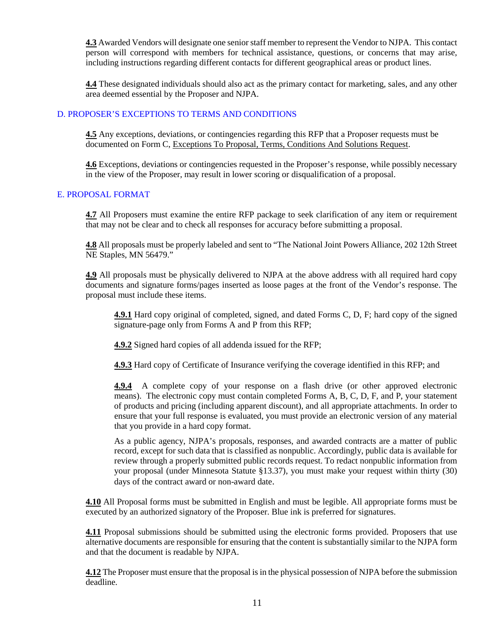**4.3** Awarded Vendors will designate one senior staff member to represent the Vendor to NJPA. This contact person will correspond with members for technical assistance, questions, or concerns that may arise, including instructions regarding different contacts for different geographical areas or product lines.

**4.4** These designated individuals should also act as the primary contact for marketing, sales, and any other area deemed essential by the Proposer and NJPA.

# D. PROPOSER'S EXCEPTIONS TO TERMS AND CONDITIONS

**4.5** Any exceptions, deviations, or contingencies regarding this RFP that a Proposer requests must be documented on Form C, Exceptions To Proposal, Terms, Conditions And Solutions Request.

**4.6** Exceptions, deviations or contingencies requested in the Proposer's response, while possibly necessary in the view of the Proposer, may result in lower scoring or disqualification of a proposal.

#### E. PROPOSAL FORMAT

**4.7** All Proposers must examine the entire RFP package to seek clarification of any item or requirement that may not be clear and to check all responses for accuracy before submitting a proposal.

**4.8** All proposals must be properly labeled and sent to "The National Joint Powers Alliance, 202 12th Street NE Staples, MN 56479."

**4.9** All proposals must be physically delivered to NJPA at the above address with all required hard copy documents and signature forms/pages inserted as loose pages at the front of the Vendor's response. The proposal must include these items.

**4.9.1** Hard copy original of completed, signed, and dated Forms C, D, F; hard copy of the signed signature-page only from Forms A and P from this RFP;

**4.9.2** Signed hard copies of all addenda issued for the RFP;

**4.9.3** Hard copy of Certificate of Insurance verifying the coverage identified in this RFP; and

**4.9.4** A complete copy of your response on a flash drive (or other approved electronic means). The electronic copy must contain completed Forms A, B, C, D, F, and P, your statement of products and pricing (including apparent discount), and all appropriate attachments. In order to ensure that your full response is evaluated, you must provide an electronic version of any material that you provide in a hard copy format.

As a public agency, NJPA's proposals, responses, and awarded contracts are a matter of public record, except for such data that is classified as nonpublic. Accordingly, public data is available for review through a properly submitted public records request. To redact nonpublic information from your proposal (under Minnesota Statute §13.37), you must make your request within thirty (30) days of the contract award or non-award date.

**4.10** All Proposal forms must be submitted in English and must be legible. All appropriate forms must be executed by an authorized signatory of the Proposer. Blue ink is preferred for signatures.

**4.11** Proposal submissions should be submitted using the electronic forms provided. Proposers that use alternative documents are responsible for ensuring that the content is substantially similar to the NJPA form and that the document is readable by NJPA.

**4.12** The Proposer must ensure that the proposal is in the physical possession of NJPA before the submission deadline.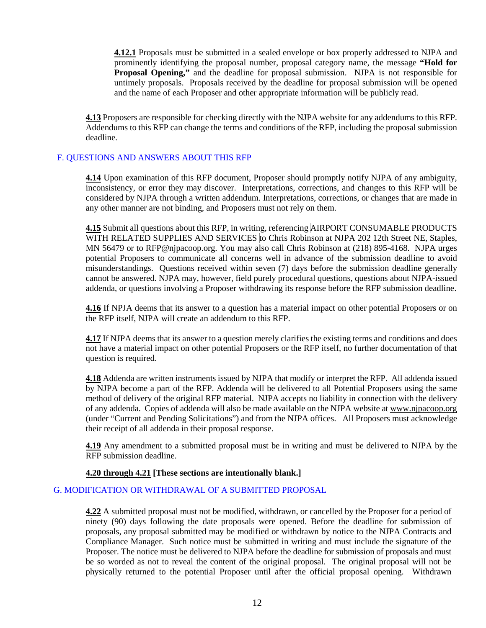**4.12.1** Proposals must be submitted in a sealed envelope or box properly addressed to NJPA and prominently identifying the proposal number, proposal category name, the message **"Hold for Proposal Opening,"** and the deadline for proposal submission. NJPA is not responsible for untimely proposals. Proposals received by the deadline for proposal submission will be opened and the name of each Proposer and other appropriate information will be publicly read.

**4.13** Proposers are responsible for checking directly with the NJPA website for any addendums to this RFP. Addendums to this RFP can change the terms and conditions of the RFP, including the proposal submission deadline.

# F. QUESTIONS AND ANSWERS ABOUT THIS RFP

**4.14** Upon examination of this RFP document, Proposer should promptly notify NJPA of any ambiguity, inconsistency, or error they may discover. Interpretations, corrections, and changes to this RFP will be considered by NJPA through a written addendum. Interpretations, corrections, or changes that are made in any other manner are not binding, and Proposers must not rely on them.

**4.15** Submit all questions about this RFP, in writing, referencing AIRPORT CONSUMABLE PRODUCTS WITH RELATED SUPPLIES AND SERVICES to Chris Robinson at NJPA 202 12th Street NE, Staples, MN 56479 or to RFP@njpacoop.org. You may also call Chris Robinson at (218) 895-4168. NJPA urges potential Proposers to communicate all concerns well in advance of the submission deadline to avoid misunderstandings. Questions received within seven (7) days before the submission deadline generally cannot be answered. NJPA may, however, field purely procedural questions, questions about NJPA-issued addenda, or questions involving a Proposer withdrawing its response before the RFP submission deadline.

**4.16** If NPJA deems that its answer to a question has a material impact on other potential Proposers or on the RFP itself, NJPA will create an addendum to this RFP.

**4.17** If NJPA deems that its answer to a question merely clarifies the existing terms and conditions and does not have a material impact on other potential Proposers or the RFP itself, no further documentation of that question is required.

**4.18** Addenda are written instruments issued by NJPA that modify or interpret the RFP. All addenda issued by NJPA become a part of the RFP. Addenda will be delivered to all Potential Proposers using the same method of delivery of the original RFP material. NJPA accepts no liability in connection with the delivery of any addenda. Copies of addenda will also be made available on the NJPA website a[t www.njpacoop.org](http://www.njpacoop.org/) (under "Current and Pending Solicitations") and from the NJPA offices. All Proposers must acknowledge their receipt of all addenda in their proposal response.

**4.19** Any amendment to a submitted proposal must be in writing and must be delivered to NJPA by the RFP submission deadline.

#### **4.20 through 4.21 [These sections are intentionally blank.]**

#### G. MODIFICATION OR WITHDRAWAL OF A SUBMITTED PROPOSAL

**4.22** A submitted proposal must not be modified, withdrawn, or cancelled by the Proposer for a period of ninety (90) days following the date proposals were opened. Before the deadline for submission of proposals, any proposal submitted may be modified or withdrawn by notice to the NJPA Contracts and Compliance Manager. Such notice must be submitted in writing and must include the signature of the Proposer. The notice must be delivered to NJPA before the deadline for submission of proposals and must be so worded as not to reveal the content of the original proposal. The original proposal will not be physically returned to the potential Proposer until after the official proposal opening. Withdrawn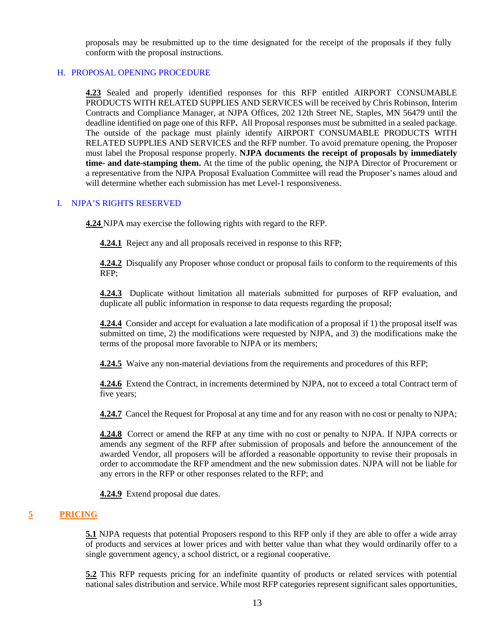proposals may be resubmitted up to the time designated for the receipt of the proposals if they fully conform with the proposal instructions.

## H. PROPOSAL OPENING PROCEDURE

**4.23** Sealed and properly identified responses for this RFP entitled AIRPORT CONSUMABLE PRODUCTS WITH RELATED SUPPLIES AND SERVICES will be received by Chris Robinson, Interim Contracts and Compliance Manager, at NJPA Offices, 202 12th Street NE, Staples, MN 56479 until the deadline identified on page one of this RFP**.** All Proposal responses must be submitted in a sealed package. The outside of the package must plainly identify AIRPORT CONSUMABLE PRODUCTS WITH RELATED SUPPLIES AND SERVICES and the RFP number. To avoid premature opening, the Proposer must label the Proposal response properly. **NJPA documents the receipt of proposals by immediately time- and date-stamping them.** At the time of the public opening, the NJPA Director of Procurement or a representative from the NJPA Proposal Evaluation Committee will read the Proposer's names aloud and will determine whether each submission has met Level-1 responsiveness.

# I. NJPA'S RIGHTS RESERVED

**4.24** NJPA may exercise the following rights with regard to the RFP.

**4.24.1** Reject any and all proposals received in response to this RFP;

**4.24.2** Disqualify any Proposer whose conduct or proposal fails to conform to the requirements of this RFP;

**4.24.3** Duplicate without limitation all materials submitted for purposes of RFP evaluation, and duplicate all public information in response to data requests regarding the proposal;

**4.24.4** Consider and accept for evaluation a late modification of a proposal if 1) the proposal itself was submitted on time, 2) the modifications were requested by NJPA, and 3) the modifications make the terms of the proposal more favorable to NJPA or its members;

**4.24.5** Waive any non-material deviations from the requirements and procedures of this RFP;

**4.24.6** Extend the Contract, in increments determined by NJPA, not to exceed a total Contract term of five years;

**4.24.7** Cancel the Request for Proposal at any time and for any reason with no cost or penalty to NJPA;

**4.24.8** Correct or amend the RFP at any time with no cost or penalty to NJPA. If NJPA corrects or amends any segment of the RFP after submission of proposals and before the announcement of the awarded Vendor, all proposers will be afforded a reasonable opportunity to revise their proposals in order to accommodate the RFP amendment and the new submission dates. NJPA will not be liable for any errors in the RFP or other responses related to the RFP; and

**4.24.9** Extend proposal due dates.

#### **5 PRICING**

**5.1** NJPA requests that potential Proposers respond to this RFP only if they are able to offer a wide array of products and services at lower prices and with better value than what they would ordinarily offer to a single government agency, a school district, or a regional cooperative.

**5.2** This RFP requests pricing for an indefinite quantity of products or related services with potential national sales distribution and service. While most RFP categories represent significant sales opportunities,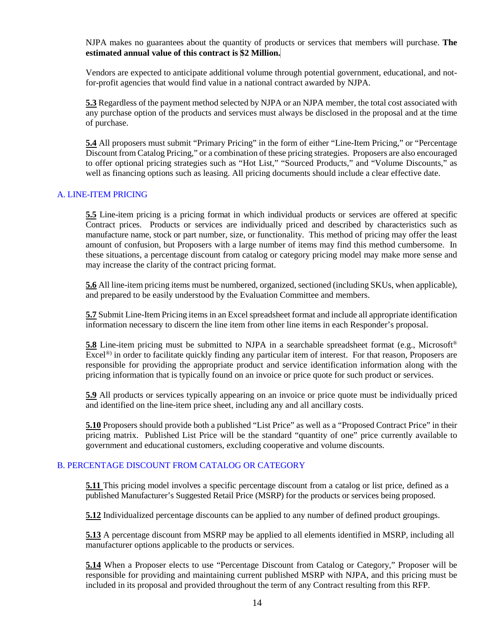NJPA makes no guarantees about the quantity of products or services that members will purchase. **The estimated annual value of this contract is \$2 Million.**

Vendors are expected to anticipate additional volume through potential government, educational, and notfor-profit agencies that would find value in a national contract awarded by NJPA.

**5.3** Regardless of the payment method selected by NJPA or an NJPA member, the total cost associated with any purchase option of the products and services must always be disclosed in the proposal and at the time of purchase.

**5.4** All proposers must submit "Primary Pricing" in the form of either "Line-Item Pricing," or "Percentage Discount from Catalog Pricing," or a combination of these pricing strategies. Proposers are also encouraged to offer optional pricing strategies such as "Hot List," "Sourced Products," and "Volume Discounts," as well as financing options such as leasing. All pricing documents should include a clear effective date.

# A. LINE-ITEM PRICING

**5.5** Line-item pricing is a pricing format in which individual products or services are offered at specific Contract prices. Products or services are individually priced and described by characteristics such as manufacture name, stock or part number, size, or functionality. This method of pricing may offer the least amount of confusion, but Proposers with a large number of items may find this method cumbersome. In these situations, a percentage discount from catalog or category pricing model may make more sense and may increase the clarity of the contract pricing format.

**5.6** All line-item pricing items must be numbered, organized, sectioned (including SKUs, when applicable), and prepared to be easily understood by the Evaluation Committee and members.

**5.7** Submit Line-Item Pricing items in an Excel spreadsheet format and include all appropriate identification information necessary to discern the line item from other line items in each Responder's proposal.

**5.8** Line-item pricing must be submitted to NJPA in a searchable spreadsheet format (e.g., Microsoft<sup>®</sup>) Excel<sup>®</sup>) in order to facilitate quickly finding any particular item of interest. For that reason, Proposers are responsible for providing the appropriate product and service identification information along with the pricing information that is typically found on an invoice or price quote for such product or services.

**5.9** All products or services typically appearing on an invoice or price quote must be individually priced and identified on the line-item price sheet, including any and all ancillary costs.

**5.10** Proposers should provide both a published "List Price" as well as a "Proposed Contract Price" in their pricing matrix. Published List Price will be the standard "quantity of one" price currently available to government and educational customers, excluding cooperative and volume discounts.

#### B. PERCENTAGE DISCOUNT FROM CATALOG OR CATEGORY

**5.11** This pricing model involves a specific percentage discount from a catalog or list price, defined as a published Manufacturer's Suggested Retail Price (MSRP) for the products or services being proposed.

**5.12** Individualized percentage discounts can be applied to any number of defined product groupings.

**5.13** A percentage discount from MSRP may be applied to all elements identified in MSRP, including all manufacturer options applicable to the products or services.

**5.14** When a Proposer elects to use "Percentage Discount from Catalog or Category," Proposer will be responsible for providing and maintaining current published MSRP with NJPA, and this pricing must be included in its proposal and provided throughout the term of any Contract resulting from this RFP.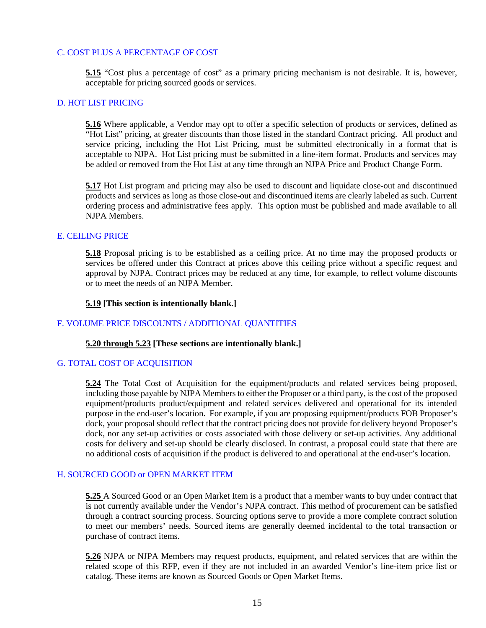#### C. COST PLUS A PERCENTAGE OF COST

**5.15** "Cost plus a percentage of cost" as a primary pricing mechanism is not desirable. It is, however, acceptable for pricing sourced goods or services.

#### D. HOT LIST PRICING

**5.16** Where applicable, a Vendor may opt to offer a specific selection of products or services, defined as "Hot List" pricing, at greater discounts than those listed in the standard Contract pricing. All product and service pricing, including the Hot List Pricing, must be submitted electronically in a format that is acceptable to NJPA. Hot List pricing must be submitted in a line-item format. Products and services may be added or removed from the Hot List at any time through an NJPA Price and Product Change Form.

**5.17** Hot List program and pricing may also be used to discount and liquidate close-out and discontinued products and services as long as those close-out and discontinued items are clearly labeled as such. Current ordering process and administrative fees apply. This option must be published and made available to all NJPA Members.

#### E. CEILING PRICE

**5.18** Proposal pricing is to be established as a ceiling price. At no time may the proposed products or services be offered under this Contract at prices above this ceiling price without a specific request and approval by NJPA. Contract prices may be reduced at any time, for example, to reflect volume discounts or to meet the needs of an NJPA Member.

#### **5.19 [This section is intentionally blank.]**

#### F. VOLUME PRICE DISCOUNTS / ADDITIONAL QUANTITIES

#### **5.20 through 5.23 [These sections are intentionally blank.]**

#### G. TOTAL COST OF ACQUISITION

**5.24** The Total Cost of Acquisition for the equipment/products and related services being proposed, including those payable by NJPA Members to either the Proposer or a third party, is the cost of the proposed equipment/products product/equipment and related services delivered and operational for its intended purpose in the end-user's location. For example, if you are proposing equipment/products FOB Proposer's dock, your proposal should reflect that the contract pricing does not provide for delivery beyond Proposer's dock, nor any set-up activities or costs associated with those delivery or set-up activities. Any additional costs for delivery and set-up should be clearly disclosed. In contrast, a proposal could state that there are no additional costs of acquisition if the product is delivered to and operational at the end-user's location.

#### H. SOURCED GOOD or OPEN MARKET ITEM

**5.25** A Sourced Good or an Open Market Item is a product that a member wants to buy under contract that is not currently available under the Vendor's NJPA contract. This method of procurement can be satisfied through a contract sourcing process. Sourcing options serve to provide a more complete contract solution to meet our members' needs. Sourced items are generally deemed incidental to the total transaction or purchase of contract items.

**5.26** NJPA or NJPA Members may request products, equipment, and related services that are within the related scope of this RFP, even if they are not included in an awarded Vendor's line-item price list or catalog. These items are known as Sourced Goods or Open Market Items.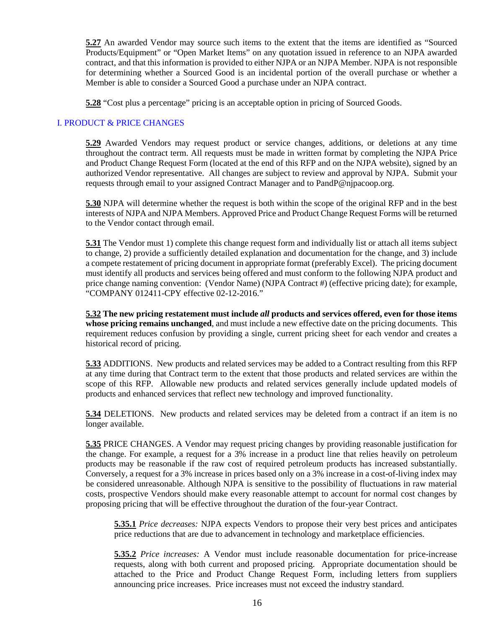**5.27** An awarded Vendor may source such items to the extent that the items are identified as "Sourced Products/Equipment" or "Open Market Items" on any quotation issued in reference to an NJPA awarded contract, and that this information is provided to either NJPA or an NJPA Member. NJPA is not responsible for determining whether a Sourced Good is an incidental portion of the overall purchase or whether a Member is able to consider a Sourced Good a purchase under an NJPA contract.

**5.28** "Cost plus a percentage" pricing is an acceptable option in pricing of Sourced Goods.

# I. PRODUCT & PRICE CHANGES

**5.29** Awarded Vendors may request product or service changes, additions, or deletions at any time throughout the contract term. All requests must be made in written format by completing the NJPA Price and Product Change Request Form (located at the end of this RFP and on the NJPA website), signed by an authorized Vendor representative. All changes are subject to review and approval by NJPA. Submit your requests through email to your assigned Contract Manager and to PandP@njpacoop.org.

**5.30** NJPA will determine whether the request is both within the scope of the original RFP and in the best interests of NJPA and NJPA Members. Approved Price and Product Change Request Forms will be returned to the Vendor contact through email.

**5.31** The Vendor must 1) complete this change request form and individually list or attach all items subject to change, 2) provide a sufficiently detailed explanation and documentation for the change, and 3) include a compete restatement of pricing document in appropriate format (preferably Excel). The pricing document must identify all products and services being offered and must conform to the following NJPA product and price change naming convention: (Vendor Name) (NJPA Contract #) (effective pricing date); for example, "COMPANY 012411-CPY effective 02-12-2016."

**5.32 The new pricing restatement must include** *all* **products and services offered, even for those items whose pricing remains unchanged**, and must include a new effective date on the pricing documents. This requirement reduces confusion by providing a single, current pricing sheet for each vendor and creates a historical record of pricing.

**5.33** ADDITIONS. New products and related services may be added to a Contract resulting from this RFP at any time during that Contract term to the extent that those products and related services are within the scope of this RFP. Allowable new products and related services generally include updated models of products and enhanced services that reflect new technology and improved functionality.

**5.34** DELETIONS. New products and related services may be deleted from a contract if an item is no longer available.

**5.35** PRICE CHANGES. A Vendor may request pricing changes by providing reasonable justification for the change. For example, a request for a 3% increase in a product line that relies heavily on petroleum products may be reasonable if the raw cost of required petroleum products has increased substantially. Conversely, a request for a 3% increase in prices based only on a 3% increase in a cost-of-living index may be considered unreasonable. Although NJPA is sensitive to the possibility of fluctuations in raw material costs, prospective Vendors should make every reasonable attempt to account for normal cost changes by proposing pricing that will be effective throughout the duration of the four-year Contract.

**5.35.1** *Price decreases:* NJPA expects Vendors to propose their very best prices and anticipates price reductions that are due to advancement in technology and marketplace efficiencies.

**5.35.2** *Price increases:* A Vendor must include reasonable documentation for price-increase requests, along with both current and proposed pricing. Appropriate documentation should be attached to the Price and Product Change Request Form, including letters from suppliers announcing price increases. Price increases must not exceed the industry standard.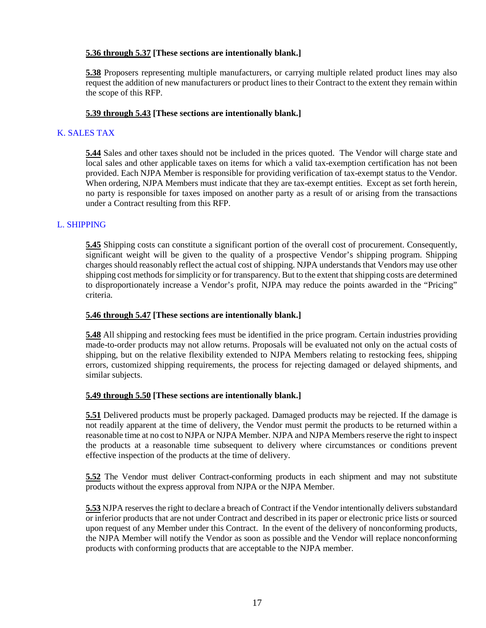## **5.36 through 5.37 [These sections are intentionally blank.]**

**5.38** Proposers representing multiple manufacturers, or carrying multiple related product lines may also request the addition of new manufacturers or product lines to their Contract to the extent they remain within the scope of this RFP.

## **5.39 through 5.43 [These sections are intentionally blank.]**

# K. SALES TAX

**5.44** Sales and other taxes should not be included in the prices quoted. The Vendor will charge state and local sales and other applicable taxes on items for which a valid tax-exemption certification has not been provided. Each NJPA Member is responsible for providing verification of tax-exempt status to the Vendor. When ordering, NJPA Members must indicate that they are tax-exempt entities. Except as set forth herein, no party is responsible for taxes imposed on another party as a result of or arising from the transactions under a Contract resulting from this RFP.

# L. SHIPPING

**5.45** Shipping costs can constitute a significant portion of the overall cost of procurement. Consequently, significant weight will be given to the quality of a prospective Vendor's shipping program. Shipping charges should reasonably reflect the actual cost of shipping. NJPA understands that Vendors may use other shipping cost methods for simplicity or for transparency. But to the extent that shipping costs are determined to disproportionately increase a Vendor's profit, NJPA may reduce the points awarded in the "Pricing" criteria.

#### **5.46 through 5.47 [These sections are intentionally blank.]**

**5.48** All shipping and restocking fees must be identified in the price program. Certain industries providing made-to-order products may not allow returns. Proposals will be evaluated not only on the actual costs of shipping, but on the relative flexibility extended to NJPA Members relating to restocking fees, shipping errors, customized shipping requirements, the process for rejecting damaged or delayed shipments, and similar subjects.

#### **5.49 through 5.50 [These sections are intentionally blank.]**

**5.51** Delivered products must be properly packaged. Damaged products may be rejected. If the damage is not readily apparent at the time of delivery, the Vendor must permit the products to be returned within a reasonable time at no cost to NJPA or NJPA Member. NJPA and NJPA Members reserve the right to inspect the products at a reasonable time subsequent to delivery where circumstances or conditions prevent effective inspection of the products at the time of delivery.

**5.52** The Vendor must deliver Contract-conforming products in each shipment and may not substitute products without the express approval from NJPA or the NJPA Member.

**5.53** NJPA reserves the right to declare a breach of Contract if the Vendor intentionally delivers substandard or inferior products that are not under Contract and described in its paper or electronic price lists or sourced upon request of any Member under this Contract. In the event of the delivery of nonconforming products, the NJPA Member will notify the Vendor as soon as possible and the Vendor will replace nonconforming products with conforming products that are acceptable to the NJPA member.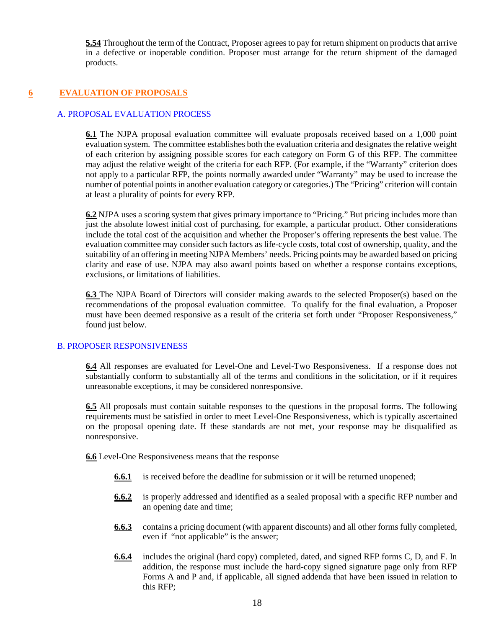**5.54** Throughout the term of the Contract, Proposer agrees to pay for return shipment on products that arrive in a defective or inoperable condition. Proposer must arrange for the return shipment of the damaged products.

# **6 EVALUATION OF PROPOSALS**

# A. PROPOSAL EVALUATION PROCESS

**6.1** The NJPA proposal evaluation committee will evaluate proposals received based on a 1,000 point evaluation system. The committee establishes both the evaluation criteria and designates the relative weight of each criterion by assigning possible scores for each category on Form G of this RFP. The committee may adjust the relative weight of the criteria for each RFP. (For example, if the "Warranty" criterion does not apply to a particular RFP, the points normally awarded under "Warranty" may be used to increase the number of potential points in another evaluation category or categories.) The "Pricing" criterion will contain at least a plurality of points for every RFP.

**6.2** NJPA uses a scoring system that gives primary importance to "Pricing." But pricing includes more than just the absolute lowest initial cost of purchasing, for example, a particular product. Other considerations include the total cost of the acquisition and whether the Proposer's offering represents the best value. The evaluation committee may consider such factors as life-cycle costs, total cost of ownership, quality, and the suitability of an offering in meeting NJPA Members' needs. Pricing points may be awarded based on pricing clarity and ease of use. NJPA may also award points based on whether a response contains exceptions, exclusions, or limitations of liabilities.

**6.3** The NJPA Board of Directors will consider making awards to the selected Proposer(s) based on the recommendations of the proposal evaluation committee. To qualify for the final evaluation, a Proposer must have been deemed responsive as a result of the criteria set forth under "Proposer Responsiveness," found just below.

#### B. PROPOSER RESPONSIVENESS

**6.4** All responses are evaluated for Level-One and Level-Two Responsiveness. If a response does not substantially conform to substantially all of the terms and conditions in the solicitation, or if it requires unreasonable exceptions, it may be considered nonresponsive.

**6.5** All proposals must contain suitable responses to the questions in the proposal forms. The following requirements must be satisfied in order to meet Level-One Responsiveness, which is typically ascertained on the proposal opening date. If these standards are not met, your response may be disqualified as nonresponsive.

**6.6** Level-One Responsiveness means that the response

- **6.6.1** is received before the deadline for submission or it will be returned unopened;
- **6.6.2** is properly addressed and identified as a sealed proposal with a specific RFP number and an opening date and time;
- **6.6.3** contains a pricing document (with apparent discounts) and all other forms fully completed, even if "not applicable" is the answer;
- **6.6.4** includes the original (hard copy) completed, dated, and signed RFP forms C, D, and F. In addition, the response must include the hard-copy signed signature page only from RFP Forms A and P and, if applicable, all signed addenda that have been issued in relation to this RFP;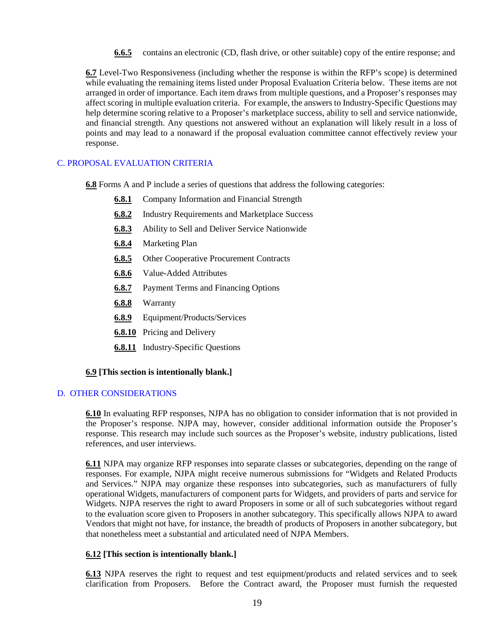**6.6.5** contains an electronic (CD, flash drive, or other suitable) copy of the entire response; and

**6.7** Level-Two Responsiveness (including whether the response is within the RFP's scope) is determined while evaluating the remaining items listed under Proposal Evaluation Criteria below. These items are not arranged in order of importance. Each item draws from multiple questions, and a Proposer's responses may affect scoring in multiple evaluation criteria. For example, the answers to Industry-Specific Questions may help determine scoring relative to a Proposer's marketplace success, ability to sell and service nationwide, and financial strength. Any questions not answered without an explanation will likely result in a loss of points and may lead to a nonaward if the proposal evaluation committee cannot effectively review your response.

# C. PROPOSAL EVALUATION CRITERIA

**6.8** Forms A and P include a series of questions that address the following categories:

- **6.8.1** Company Information and Financial Strength
- **6.8.2** Industry Requirements and Marketplace Success
- **6.8.3** Ability to Sell and Deliver Service Nationwide
- **6.8.4** Marketing Plan
- **6.8.5** Other Cooperative Procurement Contracts
- **6.8.6** Value-Added Attributes
- **6.8.7** Payment Terms and Financing Options
- **6.8.8** Warranty
- **6.8.9** Equipment/Products/Services
- **6.8.10** Pricing and Delivery
- **6.8.11** Industry-Specific Questions

#### **6.9 [This section is intentionally blank.]**

#### D. OTHER CONSIDERATIONS

**6.10** In evaluating RFP responses, NJPA has no obligation to consider information that is not provided in the Proposer's response. NJPA may, however, consider additional information outside the Proposer's response. This research may include such sources as the Proposer's website, industry publications, listed references, and user interviews.

**6.11** NJPA may organize RFP responses into separate classes or subcategories, depending on the range of responses. For example, NJPA might receive numerous submissions for "Widgets and Related Products and Services." NJPA may organize these responses into subcategories, such as manufacturers of fully operational Widgets, manufacturers of component parts for Widgets, and providers of parts and service for Widgets. NJPA reserves the right to award Proposers in some or all of such subcategories without regard to the evaluation score given to Proposers in another subcategory. This specifically allows NJPA to award Vendors that might not have, for instance, the breadth of products of Proposers in another subcategory, but that nonetheless meet a substantial and articulated need of NJPA Members.

#### **6.12 [This section is intentionally blank.]**

**6.13** NJPA reserves the right to request and test equipment/products and related services and to seek clarification from Proposers. Before the Contract award, the Proposer must furnish the requested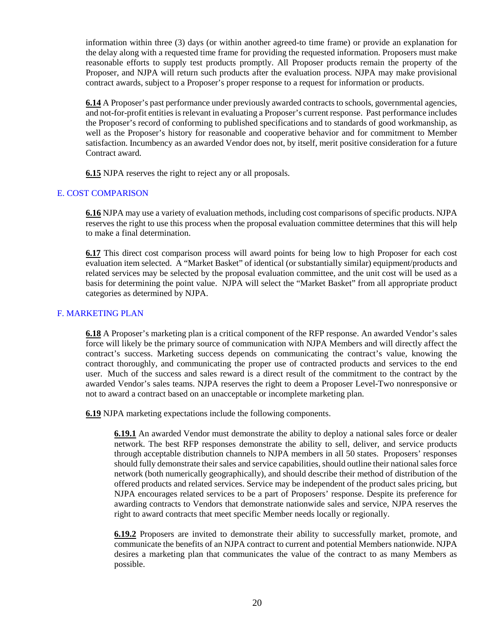information within three (3) days (or within another agreed-to time frame) or provide an explanation for the delay along with a requested time frame for providing the requested information. Proposers must make reasonable efforts to supply test products promptly. All Proposer products remain the property of the Proposer, and NJPA will return such products after the evaluation process. NJPA may make provisional contract awards, subject to a Proposer's proper response to a request for information or products.

**6.14** A Proposer's past performance under previously awarded contracts to schools, governmental agencies, and not-for-profit entities is relevant in evaluating a Proposer's current response. Past performance includes the Proposer's record of conforming to published specifications and to standards of good workmanship, as well as the Proposer's history for reasonable and cooperative behavior and for commitment to Member satisfaction. Incumbency as an awarded Vendor does not, by itself, merit positive consideration for a future Contract award.

**6.15** NJPA reserves the right to reject any or all proposals.

#### E. COST COMPARISON

**6.16** NJPA may use a variety of evaluation methods, including cost comparisons of specific products. NJPA reserves the right to use this process when the proposal evaluation committee determines that this will help to make a final determination.

**6.17** This direct cost comparison process will award points for being low to high Proposer for each cost evaluation item selected. A "Market Basket" of identical (or substantially similar) equipment/products and related services may be selected by the proposal evaluation committee, and the unit cost will be used as a basis for determining the point value. NJPA will select the "Market Basket" from all appropriate product categories as determined by NJPA.

#### F. MARKETING PLAN

**6.18** A Proposer's marketing plan is a critical component of the RFP response. An awarded Vendor's sales force will likely be the primary source of communication with NJPA Members and will directly affect the contract's success. Marketing success depends on communicating the contract's value, knowing the contract thoroughly, and communicating the proper use of contracted products and services to the end user. Much of the success and sales reward is a direct result of the commitment to the contract by the awarded Vendor's sales teams. NJPA reserves the right to deem a Proposer Level-Two nonresponsive or not to award a contract based on an unacceptable or incomplete marketing plan.

**6.19** NJPA marketing expectations include the following components.

**6.19.1** An awarded Vendor must demonstrate the ability to deploy a national sales force or dealer network. The best RFP responses demonstrate the ability to sell, deliver, and service products through acceptable distribution channels to NJPA members in all 50 states. Proposers' responses should fully demonstrate their sales and service capabilities, should outline their national sales force network (both numerically geographically), and should describe their method of distribution of the offered products and related services. Service may be independent of the product sales pricing, but NJPA encourages related services to be a part of Proposers' response. Despite its preference for awarding contracts to Vendors that demonstrate nationwide sales and service, NJPA reserves the right to award contracts that meet specific Member needs locally or regionally.

**6.19.2** Proposers are invited to demonstrate their ability to successfully market, promote, and communicate the benefits of an NJPA contract to current and potential Members nationwide. NJPA desires a marketing plan that communicates the value of the contract to as many Members as possible.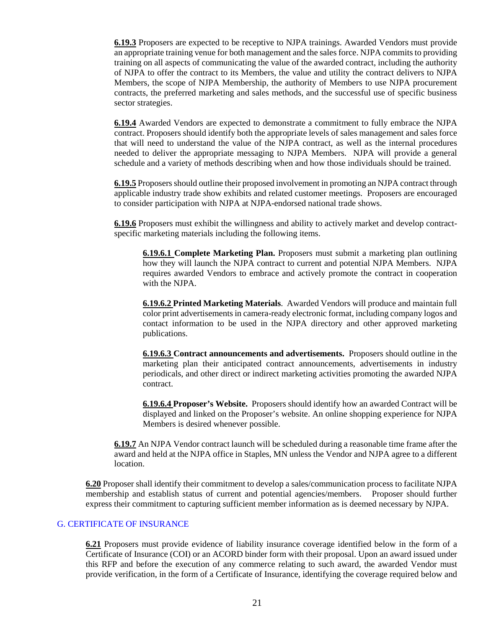**6.19.3** Proposers are expected to be receptive to NJPA trainings. Awarded Vendors must provide an appropriate training venue for both management and the sales force. NJPA commits to providing training on all aspects of communicating the value of the awarded contract, including the authority of NJPA to offer the contract to its Members, the value and utility the contract delivers to NJPA Members, the scope of NJPA Membership, the authority of Members to use NJPA procurement contracts, the preferred marketing and sales methods, and the successful use of specific business sector strategies.

**6.19.4** Awarded Vendors are expected to demonstrate a commitment to fully embrace the NJPA contract. Proposers should identify both the appropriate levels of sales management and sales force that will need to understand the value of the NJPA contract, as well as the internal procedures needed to deliver the appropriate messaging to NJPA Members. NJPA will provide a general schedule and a variety of methods describing when and how those individuals should be trained.

**6.19.5** Proposers should outline their proposed involvement in promoting an NJPA contract through applicable industry trade show exhibits and related customer meetings. Proposers are encouraged to consider participation with NJPA at NJPA-endorsed national trade shows.

**6.19.6** Proposers must exhibit the willingness and ability to actively market and develop contractspecific marketing materials including the following items.

**6.19.6.1 Complete Marketing Plan.** Proposers must submit a marketing plan outlining how they will launch the NJPA contract to current and potential NJPA Members. NJPA requires awarded Vendors to embrace and actively promote the contract in cooperation with the NJPA.

**6.19.6.2 Printed Marketing Materials**. Awarded Vendors will produce and maintain full color print advertisements in camera-ready electronic format, including company logos and contact information to be used in the NJPA directory and other approved marketing publications.

**6.19.6.3 Contract announcements and advertisements.** Proposers should outline in the marketing plan their anticipated contract announcements, advertisements in industry periodicals, and other direct or indirect marketing activities promoting the awarded NJPA contract.

**6.19.6.4 Proposer's Website.** Proposers should identify how an awarded Contract will be displayed and linked on the Proposer's website. An online shopping experience for NJPA Members is desired whenever possible.

**6.19.7** An NJPA Vendor contract launch will be scheduled during a reasonable time frame after the award and held at the NJPA office in Staples, MN unless the Vendor and NJPA agree to a different location.

**6.20** Proposer shall identify their commitment to develop a sales/communication process to facilitate NJPA membership and establish status of current and potential agencies/members. Proposer should further express their commitment to capturing sufficient member information as is deemed necessary by NJPA.

#### G. CERTIFICATE OF INSURANCE

**6.21** Proposers must provide evidence of liability insurance coverage identified below in the form of a Certificate of Insurance (COI) or an ACORD binder form with their proposal. Upon an award issued under this RFP and before the execution of any commerce relating to such award, the awarded Vendor must provide verification, in the form of a Certificate of Insurance, identifying the coverage required below and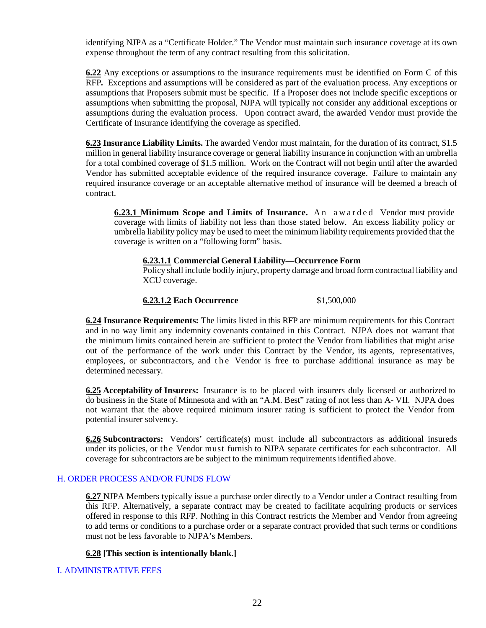identifying NJPA as a "Certificate Holder." The Vendor must maintain such insurance coverage at its own expense throughout the term of any contract resulting from this solicitation.

**6.22** Any exceptions or assumptions to the insurance requirements must be identified on Form C of this RFP*.* Exceptions and assumptions will be considered as part of the evaluation process. Any exceptions or assumptions that Proposers submit must be specific. If a Proposer does not include specific exceptions or assumptions when submitting the proposal, NJPA will typically not consider any additional exceptions or assumptions during the evaluation process. Upon contract award, the awarded Vendor must provide the Certificate of Insurance identifying the coverage as specified.

**6.23 Insurance Liability Limits.** The awarded Vendor must maintain, for the duration of its contract, \$1.5 million in general liability insurance coverage or general liability insurance in conjunction with an umbrella for a total combined coverage of \$1.5 million. Work on the Contract will not begin until after the awarded Vendor has submitted acceptable evidence of the required insurance coverage. Failure to maintain any required insurance coverage or an acceptable alternative method of insurance will be deemed a breach of contract.

**6.23.1 Minimum Scope and Limits of Insurance.** An awarded Vendor must provide coverage with limits of liability not less than those stated below. An excess liability policy or umbrella liability policy may be used to meet the minimum liability requirements provided that the coverage is written on a "following form" basis.

#### **6.23.1.1 Commercial General Liability—Occurrence Form**

Policy shall include bodily injury, property damage and broad form contractual liability and XCU coverage.

# **6.23.1.2 Each Occurrence** \$1,500,000

**6.24 Insurance Requirements:** The limits listed in this RFP are minimum requirements for this Contract and in no way limit any indemnity covenants contained in this Contract. NJPA does not warrant that the minimum limits contained herein are sufficient to protect the Vendor from liabilities that might arise out of the performance of the work under this Contract by the Vendor, its agents, representatives, employees, or subcontractors, and the Vendor is free to purchase additional insurance as may be determined necessary.

**6.25 Acceptability of Insurers:** Insurance is to be placed with insurers duly licensed or authorized to do business in the State of Minnesota and with an "A.M. Best" rating of not less than A- VII. NJPA does not warrant that the above required minimum insurer rating is sufficient to protect the Vendor from potential insurer solvency.

**6.26 Subcontractors:** Vendors' certificate(s) must include all subcontractors as additional insureds under its policies, or the Vendor must furnish to NJPA separate certificates for each subcontractor. All coverage for subcontractors are be subject to the minimum requirements identified above.

#### H. ORDER PROCESS AND/OR FUNDS FLOW

**6.27** NJPA Members typically issue a purchase order directly to a Vendor under a Contract resulting from this RFP. Alternatively, a separate contract may be created to facilitate acquiring products or services offered in response to this RFP. Nothing in this Contract restricts the Member and Vendor from agreeing to add terms or conditions to a purchase order or a separate contract provided that such terms or conditions must not be less favorable to NJPA's Members.

#### **6.28 [This section is intentionally blank.]**

#### I. ADMINISTRATIVE FEES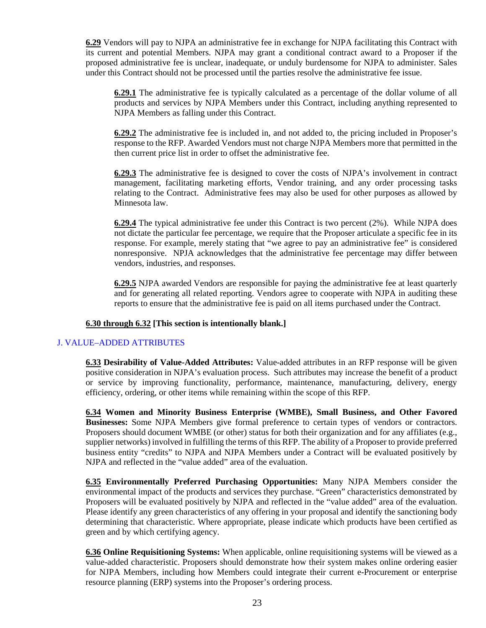**6.29** Vendors will pay to NJPA an administrative fee in exchange for NJPA facilitating this Contract with its current and potential Members. NJPA may grant a conditional contract award to a Proposer if the proposed administrative fee is unclear, inadequate, or unduly burdensome for NJPA to administer. Sales under this Contract should not be processed until the parties resolve the administrative fee issue.

**6.29.1** The administrative fee is typically calculated as a percentage of the dollar volume of all products and services by NJPA Members under this Contract, including anything represented to NJPA Members as falling under this Contract.

**6.29.2** The administrative fee is included in, and not added to, the pricing included in Proposer's response to the RFP. Awarded Vendors must not charge NJPA Members more that permitted in the then current price list in order to offset the administrative fee.

**6.29.3** The administrative fee is designed to cover the costs of NJPA's involvement in contract management, facilitating marketing efforts, Vendor training, and any order processing tasks relating to the Contract. Administrative fees may also be used for other purposes as allowed by Minnesota law.

**6.29.4** The typical administrative fee under this Contract is two percent (2%). While NJPA does not dictate the particular fee percentage, we require that the Proposer articulate a specific fee in its response. For example, merely stating that "we agree to pay an administrative fee" is considered nonresponsive. NPJA acknowledges that the administrative fee percentage may differ between vendors, industries, and responses.

**6.29.5** NJPA awarded Vendors are responsible for paying the administrative fee at least quarterly and for generating all related reporting. Vendors agree to cooperate with NJPA in auditing these reports to ensure that the administrative fee is paid on all items purchased under the Contract.

#### **6.30 through 6.32 [This section is intentionally blank.]**

#### J. VALUE–ADDED ATTRIBUTES

**6.33 Desirability of Value-Added Attributes:** Value-added attributes in an RFP response will be given positive consideration in NJPA's evaluation process. Such attributes may increase the benefit of a product or service by improving functionality, performance, maintenance, manufacturing, delivery, energy efficiency, ordering, or other items while remaining within the scope of this RFP.

**6.34 Women and Minority Business Enterprise (WMBE), Small Business, and Other Favored Businesses:** Some NJPA Members give formal preference to certain types of vendors or contractors. Proposers should document WMBE (or other) status for both their organization and for any affiliates (e.g., supplier networks) involved in fulfilling the terms of this RFP. The ability of a Proposer to provide preferred business entity "credits" to NJPA and NJPA Members under a Contract will be evaluated positively by NJPA and reflected in the "value added" area of the evaluation.

**6.35 Environmentally Preferred Purchasing Opportunities:** Many NJPA Members consider the environmental impact of the products and services they purchase. "Green" characteristics demonstrated by Proposers will be evaluated positively by NJPA and reflected in the "value added" area of the evaluation. Please identify any green characteristics of any offering in your proposal and identify the sanctioning body determining that characteristic. Where appropriate, please indicate which products have been certified as green and by which certifying agency.

**6.36 Online Requisitioning Systems:** When applicable, online requisitioning systems will be viewed as a value-added characteristic. Proposers should demonstrate how their system makes online ordering easier for NJPA Members, including how Members could integrate their current e-Procurement or enterprise resource planning (ERP) systems into the Proposer's ordering process.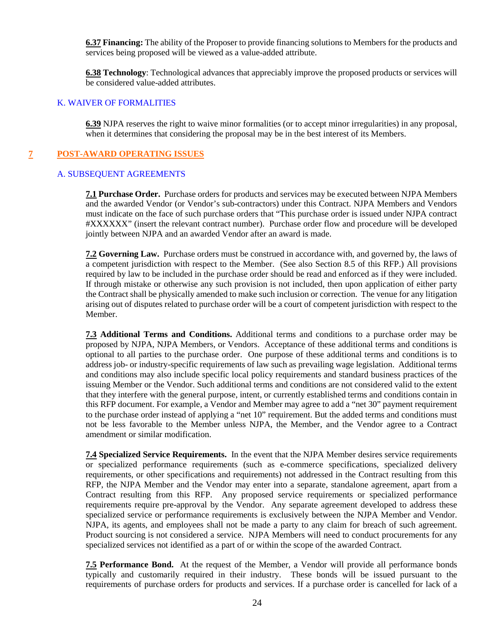**6.37 Financing:** The ability of the Proposer to provide financing solutions to Members for the products and services being proposed will be viewed as a value-added attribute.

**6.38 Technology**: Technological advances that appreciably improve the proposed products or services will be considered value-added attributes.

#### K. WAIVER OF FORMALITIES

**6.39** NJPA reserves the right to waive minor formalities (or to accept minor irregularities) in any proposal, when it determines that considering the proposal may be in the best interest of its Members.

## **7 POST-AWARD OPERATING ISSUES**

#### A. SUBSEQUENT AGREEMENTS

**7.1 Purchase Order.** Purchase orders for products and services may be executed between NJPA Members and the awarded Vendor (or Vendor's sub-contractors) under this Contract. NJPA Members and Vendors must indicate on the face of such purchase orders that "This purchase order is issued under NJPA contract #XXXXXX" (insert the relevant contract number). Purchase order flow and procedure will be developed jointly between NJPA and an awarded Vendor after an award is made.

**7.2 Governing Law.** Purchase orders must be construed in accordance with, and governed by, the laws of a competent jurisdiction with respect to the Member. (See also Section 8.5 of this RFP.) All provisions required by law to be included in the purchase order should be read and enforced as if they were included. If through mistake or otherwise any such provision is not included, then upon application of either party the Contract shall be physically amended to make such inclusion or correction. The venue for any litigation arising out of disputes related to purchase order will be a court of competent jurisdiction with respect to the Member.

**7.3 Additional Terms and Conditions.** Additional terms and conditions to a purchase order may be proposed by NJPA, NJPA Members, or Vendors. Acceptance of these additional terms and conditions is optional to all parties to the purchase order. One purpose of these additional terms and conditions is to address job- or industry-specific requirements of law such as prevailing wage legislation. Additional terms and conditions may also include specific local policy requirements and standard business practices of the issuing Member or the Vendor. Such additional terms and conditions are not considered valid to the extent that they interfere with the general purpose, intent, or currently established terms and conditions contain in this RFP document. For example, a Vendor and Member may agree to add a "net 30" payment requirement to the purchase order instead of applying a "net 10" requirement. But the added terms and conditions must not be less favorable to the Member unless NJPA, the Member, and the Vendor agree to a Contract amendment or similar modification.

**7.4 Specialized Service Requirements.** In the event that the NJPA Member desires service requirements or specialized performance requirements (such as e-commerce specifications, specialized delivery requirements, or other specifications and requirements) not addressed in the Contract resulting from this RFP, the NJPA Member and the Vendor may enter into a separate, standalone agreement, apart from a Contract resulting from this RFP. Any proposed service requirements or specialized performance requirements require pre-approval by the Vendor. Any separate agreement developed to address these specialized service or performance requirements is exclusively between the NJPA Member and Vendor. NJPA, its agents, and employees shall not be made a party to any claim for breach of such agreement. Product sourcing is not considered a service. NJPA Members will need to conduct procurements for any specialized services not identified as a part of or within the scope of the awarded Contract.

**7.5 Performance Bond.** At the request of the Member, a Vendor will provide all performance bonds typically and customarily required in their industry. These bonds will be issued pursuant to the requirements of purchase orders for products and services. If a purchase order is cancelled for lack of a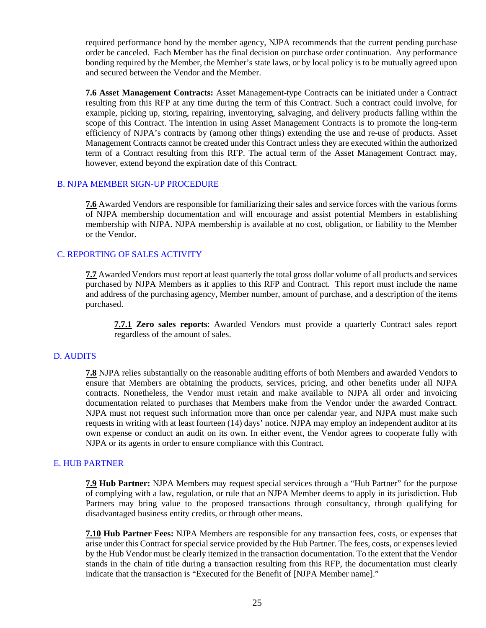required performance bond by the member agency, NJPA recommends that the current pending purchase order be canceled. Each Member has the final decision on purchase order continuation. Any performance bonding required by the Member, the Member's state laws, or by local policy is to be mutually agreed upon and secured between the Vendor and the Member.

**7.6 Asset Management Contracts:** Asset Management-type Contracts can be initiated under a Contract resulting from this RFP at any time during the term of this Contract. Such a contract could involve, for example, picking up, storing, repairing, inventorying, salvaging, and delivery products falling within the scope of this Contract. The intention in using Asset Management Contracts is to promote the long-term efficiency of NJPA's contracts by (among other things) extending the use and re-use of products. Asset Management Contracts cannot be created under this Contract unless they are executed within the authorized term of a Contract resulting from this RFP. The actual term of the Asset Management Contract may, however, extend beyond the expiration date of this Contract.

#### B. NJPA MEMBER SIGN-UP PROCEDURE

**7.6** Awarded Vendors are responsible for familiarizing their sales and service forces with the various forms of NJPA membership documentation and will encourage and assist potential Members in establishing membership with NJPA. NJPA membership is available at no cost, obligation, or liability to the Member or the Vendor.

#### C. REPORTING OF SALES ACTIVITY

**7.7** Awarded Vendors must report at least quarterly the total gross dollar volume of all products and services purchased by NJPA Members as it applies to this RFP and Contract. This report must include the name and address of the purchasing agency, Member number, amount of purchase, and a description of the items purchased.

**7.7.1 Zero sales reports**: Awarded Vendors must provide a quarterly Contract sales report regardless of the amount of sales.

#### D. AUDITS

**7.8** NJPA relies substantially on the reasonable auditing efforts of both Members and awarded Vendors to ensure that Members are obtaining the products, services, pricing, and other benefits under all NJPA contracts. Nonetheless, the Vendor must retain and make available to NJPA all order and invoicing documentation related to purchases that Members make from the Vendor under the awarded Contract. NJPA must not request such information more than once per calendar year, and NJPA must make such requests in writing with at least fourteen (14) days' notice. NJPA may employ an independent auditor at its own expense or conduct an audit on its own. In either event, the Vendor agrees to cooperate fully with NJPA or its agents in order to ensure compliance with this Contract.

#### E. HUB PARTNER

**7.9 Hub Partner:** NJPA Members may request special services through a "Hub Partner" for the purpose of complying with a law, regulation, or rule that an NJPA Member deems to apply in its jurisdiction. Hub Partners may bring value to the proposed transactions through consultancy, through qualifying for disadvantaged business entity credits, or through other means.

**7.10 Hub Partner Fees:** NJPA Members are responsible for any transaction fees, costs, or expenses that arise under this Contract for special service provided by the Hub Partner. The fees, costs, or expenses levied by the Hub Vendor must be clearly itemized in the transaction documentation. To the extent that the Vendor stands in the chain of title during a transaction resulting from this RFP, the documentation must clearly indicate that the transaction is "Executed for the Benefit of [NJPA Member name]."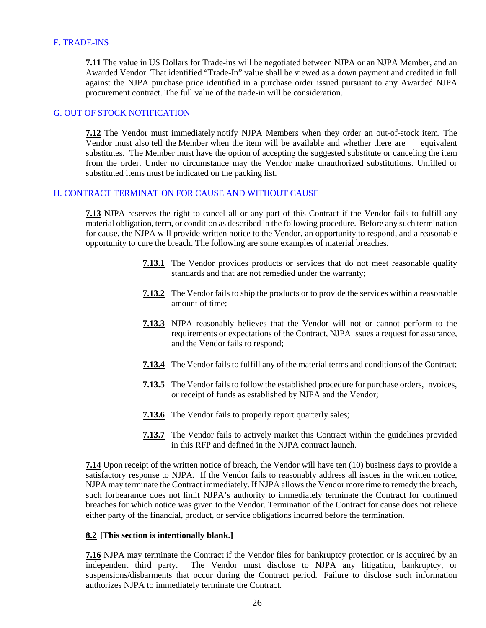#### F. TRADE-INS

**7.11** The value in US Dollars for Trade-ins will be negotiated between NJPA or an NJPA Member, and an Awarded Vendor. That identified "Trade-In" value shall be viewed as a down payment and credited in full against the NJPA purchase price identified in a purchase order issued pursuant to any Awarded NJPA procurement contract. The full value of the trade-in will be consideration.

## G. OUT OF STOCK NOTIFICATION

**7.12** The Vendor must immediately notify NJPA Members when they order an out-of-stock item. The Vendor must also tell the Member when the item will be available and whether there are equivalent substitutes. The Member must have the option of accepting the suggested substitute or canceling the item from the order. Under no circumstance may the Vendor make unauthorized substitutions. Unfilled or substituted items must be indicated on the packing list.

#### H. CONTRACT TERMINATION FOR CAUSE AND WITHOUT CAUSE

**7.13** NJPA reserves the right to cancel all or any part of this Contract if the Vendor fails to fulfill any material obligation, term, or condition as described in the following procedure. Before any such termination for cause, the NJPA will provide written notice to the Vendor, an opportunity to respond, and a reasonable opportunity to cure the breach. The following are some examples of material breaches.

- **7.13.1** The Vendor provides products or services that do not meet reasonable quality standards and that are not remedied under the warranty;
- **7.13.2** The Vendor fails to ship the products or to provide the services within a reasonable amount of time;
- **7.13.3** NJPA reasonably believes that the Vendor will not or cannot perform to the requirements or expectations of the Contract, NJPA issues a request for assurance, and the Vendor fails to respond;
- **7.13.4** The Vendor fails to fulfill any of the material terms and conditions of the Contract;
- **7.13.5** The Vendor fails to follow the established procedure for purchase orders, invoices, or receipt of funds as established by NJPA and the Vendor;
- **7.13.6** The Vendor fails to properly report quarterly sales;
- **7.13.7** The Vendor fails to actively market this Contract within the guidelines provided in this RFP and defined in the NJPA contract launch.

**7.14** Upon receipt of the written notice of breach, the Vendor will have ten (10) business days to provide a satisfactory response to NJPA. If the Vendor fails to reasonably address all issues in the written notice, NJPA may terminate the Contract immediately. If NJPA allows the Vendor more time to remedy the breach, such forbearance does not limit NJPA's authority to immediately terminate the Contract for continued breaches for which notice was given to the Vendor. Termination of the Contract for cause does not relieve either party of the financial, product, or service obligations incurred before the termination.

#### **8.2 [This section is intentionally blank.]**

**7.16** NJPA may terminate the Contract if the Vendor files for bankruptcy protection or is acquired by an independent third party. The Vendor must disclose to NJPA any litigation, bankruptcy, or The Vendor must disclose to NJPA any litigation, bankruptcy, or suspensions/disbarments that occur during the Contract period. Failure to disclose such information authorizes NJPA to immediately terminate the Contract.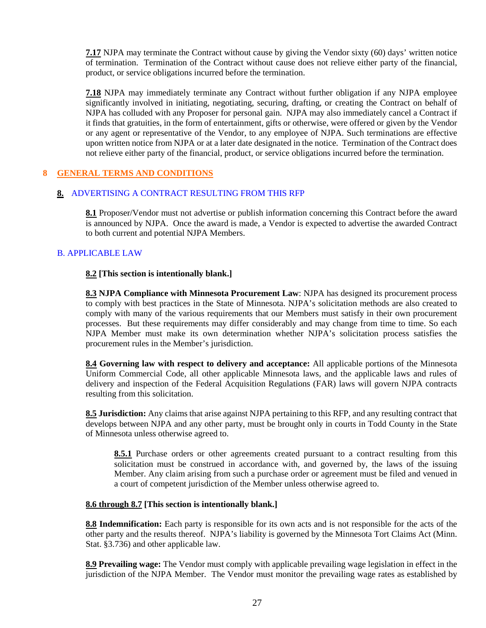**7.17** NJPA may terminate the Contract without cause by giving the Vendor sixty (60) days' written notice of termination. Termination of the Contract without cause does not relieve either party of the financial, product, or service obligations incurred before the termination.

**7.18** NJPA may immediately terminate any Contract without further obligation if any NJPA employee significantly involved in initiating, negotiating, securing, drafting, or creating the Contract on behalf of NJPA has colluded with any Proposer for personal gain. NJPA may also immediately cancel a Contract if it finds that gratuities, in the form of entertainment, gifts or otherwise, were offered or given by the Vendor or any agent or representative of the Vendor, to any employee of NJPA. Such terminations are effective upon written notice from NJPA or at a later date designated in the notice. Termination of the Contract does not relieve either party of the financial, product, or service obligations incurred before the termination.

# **8 GENERAL TERMS AND CONDITIONS**

#### **8.** ADVERTISING A CONTRACT RESULTING FROM THIS RFP

**8.1** Proposer/Vendor must not advertise or publish information concerning this Contract before the award is announced by NJPA. Once the award is made, a Vendor is expected to advertise the awarded Contract to both current and potential NJPA Members.

# B. APPLICABLE LAW

#### **8.2 [This section is intentionally blank.]**

**8.3 NJPA Compliance with Minnesota Procurement Law**: NJPA has designed its procurement process to comply with best practices in the State of Minnesota. NJPA's solicitation methods are also created to comply with many of the various requirements that our Members must satisfy in their own procurement processes. But these requirements may differ considerably and may change from time to time. So each NJPA Member must make its own determination whether NJPA's solicitation process satisfies the procurement rules in the Member's jurisdiction.

**8.4 Governing law with respect to delivery and acceptance:** All applicable portions of the Minnesota Uniform Commercial Code, all other applicable Minnesota laws, and the applicable laws and rules of delivery and inspection of the Federal Acquisition Regulations (FAR) laws will govern NJPA contracts resulting from this solicitation.

**8.5 Jurisdiction:** Any claims that arise against NJPA pertaining to this RFP, and any resulting contract that develops between NJPA and any other party, must be brought only in courts in Todd County in the State of Minnesota unless otherwise agreed to.

**8.5.1** Purchase orders or other agreements created pursuant to a contract resulting from this solicitation must be construed in accordance with, and governed by, the laws of the issuing Member. Any claim arising from such a purchase order or agreement must be filed and venued in a court of competent jurisdiction of the Member unless otherwise agreed to.

#### **8.6 through 8.7 [This section is intentionally blank.]**

**8.8 Indemnification:** Each party is responsible for its own acts and is not responsible for the acts of the other party and the results thereof. NJPA's liability is governed by the Minnesota Tort Claims Act (Minn. Stat. §3.736) and other applicable law.

**8.9 Prevailing wage:** The Vendor must comply with applicable prevailing wage legislation in effect in the jurisdiction of the NJPA Member. The Vendor must monitor the prevailing wage rates as established by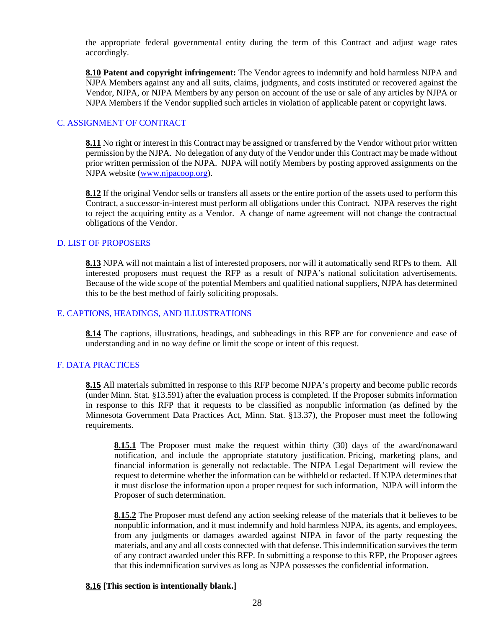the appropriate federal governmental entity during the term of this Contract and adjust wage rates accordingly.

**8.10 Patent and copyright infringement:** The Vendor agrees to indemnify and hold harmless NJPA and NJPA Members against any and all suits, claims, judgments, and costs instituted or recovered against the Vendor, NJPA, or NJPA Members by any person on account of the use or sale of any articles by NJPA or NJPA Members if the Vendor supplied such articles in violation of applicable patent or copyright laws.

#### C. ASSIGNMENT OF CONTRACT

**8.11** No right or interest in this Contract may be assigned or transferred by the Vendor without prior written permission by the NJPA. No delegation of any duty of the Vendor under this Contract may be made without prior written permission of the NJPA. NJPA will notify Members by posting approved assignments on the NJPA website [\(www.njpacoop.org\)](http://www.njpacoop.org/).

**8.12** If the original Vendor sells or transfers all assets or the entire portion of the assets used to perform this Contract, a successor-in-interest must perform all obligations under this Contract. NJPA reserves the right to reject the acquiring entity as a Vendor. A change of name agreement will not change the contractual obligations of the Vendor.

#### D. LIST OF PROPOSERS

**8.13** NJPA will not maintain a list of interested proposers, nor will it automatically send RFPs to them. All interested proposers must request the RFP as a result of NJPA's national solicitation advertisements. Because of the wide scope of the potential Members and qualified national suppliers, NJPA has determined this to be the best method of fairly soliciting proposals.

#### E. CAPTIONS, HEADINGS, AND ILLUSTRATIONS

**8.14** The captions, illustrations, headings, and subheadings in this RFP are for convenience and ease of understanding and in no way define or limit the scope or intent of this request.

#### F. DATA PRACTICES

**8.15** All materials submitted in response to this RFP become NJPA's property and become public records (under Minn. Stat. §13.591) after the evaluation process is completed. If the Proposer submits information in response to this RFP that it requests to be classified as nonpublic information (as defined by the Minnesota Government Data Practices Act, Minn. Stat. §13.37), the Proposer must meet the following requirements.

**8.15.1** The Proposer must make the request within thirty (30) days of the award/nonaward notification, and include the appropriate statutory justification. Pricing, marketing plans, and financial information is generally not redactable. The NJPA Legal Department will review the request to determine whether the information can be withheld or redacted. If NJPA determines that it must disclose the information upon a proper request for such information, NJPA will inform the Proposer of such determination.

**8.15.2** The Proposer must defend any action seeking release of the materials that it believes to be nonpublic information, and it must indemnify and hold harmless NJPA, its agents, and employees, from any judgments or damages awarded against NJPA in favor of the party requesting the materials, and any and all costs connected with that defense. This indemnification survives the term of any contract awarded under this RFP. In submitting a response to this RFP, the Proposer agrees that this indemnification survives as long as NJPA possesses the confidential information.

#### **8.16 [This section is intentionally blank.]**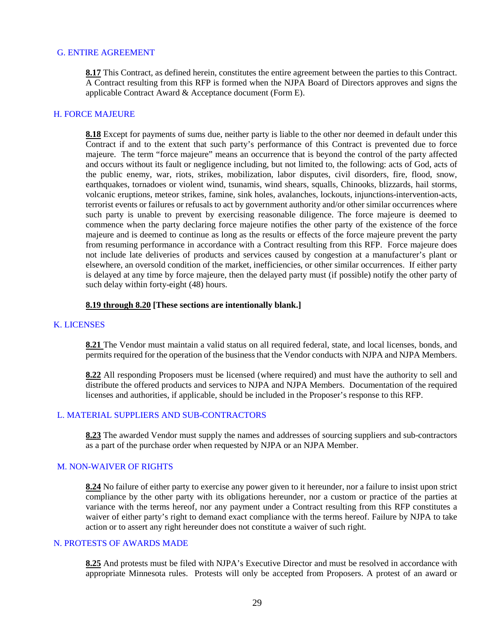#### G. ENTIRE AGREEMENT

**8.17** This Contract, as defined herein, constitutes the entire agreement between the parties to this Contract. A Contract resulting from this RFP is formed when the NJPA Board of Directors approves and signs the applicable Contract Award & Acceptance document (Form E).

#### H. FORCE MAJEURE

**8.18** Except for payments of sums due, neither party is liable to the other nor deemed in default under this Contract if and to the extent that such party's performance of this Contract is prevented due to force majeure. The term "force majeure" means an occurrence that is beyond the control of the party affected and occurs without its fault or negligence including, but not limited to, the following: acts of God, acts of the public enemy, war, riots, strikes, mobilization, labor disputes, civil disorders, fire, flood, snow, earthquakes, tornadoes or violent wind, tsunamis, wind shears, squalls, Chinooks, blizzards, hail storms, volcanic eruptions, meteor strikes, famine, sink holes, avalanches, lockouts, injunctions-intervention-acts, terrorist events or failures or refusals to act by government authority and/or other similar occurrences where such party is unable to prevent by exercising reasonable diligence. The force majeure is deemed to commence when the party declaring force majeure notifies the other party of the existence of the force majeure and is deemed to continue as long as the results or effects of the force majeure prevent the party from resuming performance in accordance with a Contract resulting from this RFP. Force majeure does not include late deliveries of products and services caused by congestion at a manufacturer's plant or elsewhere, an oversold condition of the market, inefficiencies, or other similar occurrences. If either party is delayed at any time by force majeure, then the delayed party must (if possible) notify the other party of such delay within forty-eight (48) hours.

#### **8.19 through 8.20 [These sections are intentionally blank.]**

#### K. LICENSES

**8.21** The Vendor must maintain a valid status on all required federal, state, and local licenses, bonds, and permits required for the operation of the business that the Vendor conducts with NJPA and NJPA Members.

**8.22** All responding Proposers must be licensed (where required) and must have the authority to sell and distribute the offered products and services to NJPA and NJPA Members. Documentation of the required licenses and authorities, if applicable, should be included in the Proposer's response to this RFP.

#### L. MATERIAL SUPPLIERS AND SUB-CONTRACTORS

**8.23** The awarded Vendor must supply the names and addresses of sourcing suppliers and sub-contractors as a part of the purchase order when requested by NJPA or an NJPA Member.

#### M. NON-WAIVER OF RIGHTS

**8.24** No failure of either party to exercise any power given to it hereunder, nor a failure to insist upon strict compliance by the other party with its obligations hereunder, nor a custom or practice of the parties at variance with the terms hereof, nor any payment under a Contract resulting from this RFP constitutes a waiver of either party's right to demand exact compliance with the terms hereof. Failure by NJPA to take action or to assert any right hereunder does not constitute a waiver of such right.

#### N. PROTESTS OF AWARDS MADE

**8.25** And protests must be filed with NJPA's Executive Director and must be resolved in accordance with appropriate Minnesota rules. Protests will only be accepted from Proposers. A protest of an award or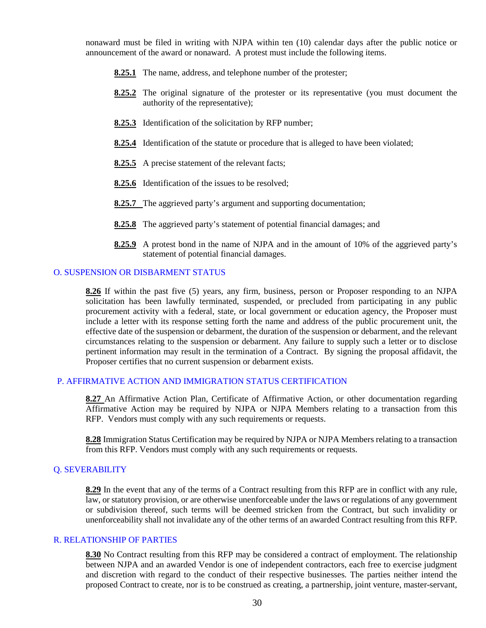nonaward must be filed in writing with NJPA within ten (10) calendar days after the public notice or announcement of the award or nonaward. A protest must include the following items.

- **8.25.1** The name, address, and telephone number of the protester;
- **8.25.2** The original signature of the protester or its representative (you must document the authority of the representative);
- **8.25.3** Identification of the solicitation by RFP number;
- **8.25.4** Identification of the statute or procedure that is alleged to have been violated;
- **8.25.5** A precise statement of the relevant facts;
- **8.25.6** Identification of the issues to be resolved;
- **8.25.7** The aggrieved party's argument and supporting documentation;
- **8.25.8** The aggrieved party's statement of potential financial damages; and
- **8.25.9** A protest bond in the name of NJPA and in the amount of 10% of the aggrieved party's statement of potential financial damages.

#### O. SUSPENSION OR DISBARMENT STATUS

**8.26** If within the past five (5) years, any firm, business, person or Proposer responding to an NJPA solicitation has been lawfully terminated, suspended, or precluded from participating in any public procurement activity with a federal, state, or local government or education agency, the Proposer must include a letter with its response setting forth the name and address of the public procurement unit, the effective date of the suspension or debarment, the duration of the suspension or debarment, and the relevant circumstances relating to the suspension or debarment. Any failure to supply such a letter or to disclose pertinent information may result in the termination of a Contract. By signing the proposal affidavit, the Proposer certifies that no current suspension or debarment exists.

#### P. AFFIRMATIVE ACTION AND IMMIGRATION STATUS CERTIFICATION

**8.27** An Affirmative Action Plan, Certificate of Affirmative Action, or other documentation regarding Affirmative Action may be required by NJPA or NJPA Members relating to a transaction from this RFP. Vendors must comply with any such requirements or requests.

**8.28** Immigration Status Certification may be required by NJPA or NJPA Members relating to a transaction from this RFP. Vendors must comply with any such requirements or requests.

#### Q. SEVERABILITY

**8.29** In the event that any of the terms of a Contract resulting from this RFP are in conflict with any rule, law, or statutory provision, or are otherwise unenforceable under the laws or regulations of any government or subdivision thereof, such terms will be deemed stricken from the Contract, but such invalidity or unenforceability shall not invalidate any of the other terms of an awarded Contract resulting from this RFP.

#### R. RELATIONSHIP OF PARTIES

**8.30** No Contract resulting from this RFP may be considered a contract of employment. The relationship between NJPA and an awarded Vendor is one of independent contractors, each free to exercise judgment and discretion with regard to the conduct of their respective businesses. The parties neither intend the proposed Contract to create, nor is to be construed as creating, a partnership, joint venture, master-servant,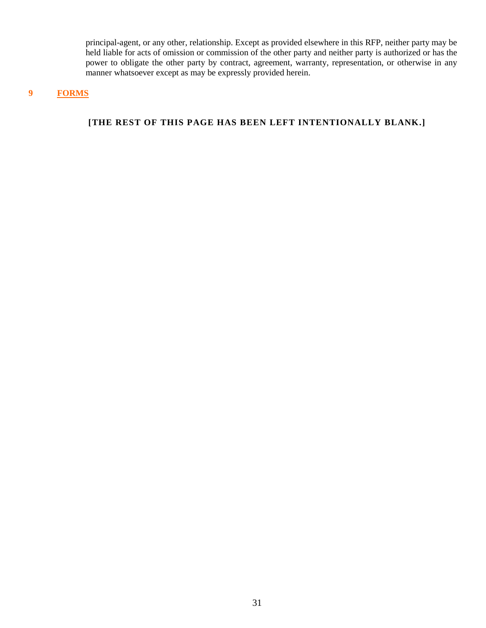principal-agent, or any other, relationship. Except as provided elsewhere in this RFP, neither party may be held liable for acts of omission or commission of the other party and neither party is authorized or has the power to obligate the other party by contract, agreement, warranty, representation, or otherwise in any manner whatsoever except as may be expressly provided herein.

# **9 FORMS**

# **[THE REST OF THIS PAGE HAS BEEN LEFT INTENTIONALLY BLANK.]**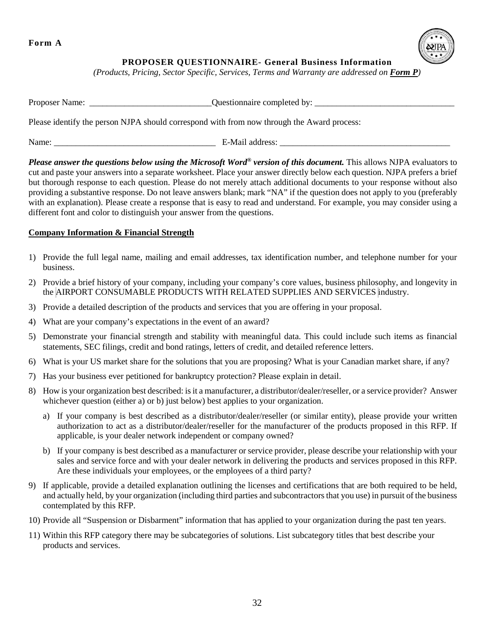**Form A**



# **PROPOSER QUESTIONNAIRE- General Business Information**

*(Products, Pricing, Sector Specific, Services, Terms and Warranty are addressed on Form P)*

| Proposer Name:                                                                             | Questionnaire completed by: |  |
|--------------------------------------------------------------------------------------------|-----------------------------|--|
| Please identify the person NJPA should correspond with from now through the Award process: |                             |  |

Name: \_\_\_\_\_\_\_\_\_\_\_\_\_\_\_\_\_\_\_\_\_\_\_\_\_\_\_\_\_\_\_\_\_\_\_\_\_ E-Mail address: \_\_\_\_\_\_\_\_\_\_\_\_\_\_\_\_\_\_\_\_\_\_\_\_\_\_\_\_\_\_\_\_\_\_\_\_\_\_\_

*Please answer the questions below using the Microsoft Word® version of this document.* This allows NJPA evaluators to cut and paste your answers into a separate worksheet. Place your answer directly below each question. NJPA prefers a brief but thorough response to each question. Please do not merely attach additional documents to your response without also providing a substantive response. Do not leave answers blank; mark "NA" if the question does not apply to you (preferably with an explanation). Please create a response that is easy to read and understand. For example, you may consider using a different font and color to distinguish your answer from the questions.

# **Company Information & Financial Strength**

- 1) Provide the full legal name, mailing and email addresses, tax identification number, and telephone number for your business.
- 2) Provide a brief history of your company, including your company's core values, business philosophy, and longevity in the AIRPORT CONSUMABLE PRODUCTS WITH RELATED SUPPLIES AND SERVICES industry.
- 3) Provide a detailed description of the products and services that you are offering in your proposal.
- 4) What are your company's expectations in the event of an award?
- 5) Demonstrate your financial strength and stability with meaningful data. This could include such items as financial statements, SEC filings, credit and bond ratings, letters of credit, and detailed reference letters.
- 6) What is your US market share for the solutions that you are proposing? What is your Canadian market share, if any?
- 7) Has your business ever petitioned for bankruptcy protection? Please explain in detail.
- 8) How is your organization best described: is it a manufacturer, a distributor/dealer/reseller, or a service provider? Answer whichever question (either a) or b) just below) best applies to your organization.
	- a) If your company is best described as a distributor/dealer/reseller (or similar entity), please provide your written authorization to act as a distributor/dealer/reseller for the manufacturer of the products proposed in this RFP. If applicable, is your dealer network independent or company owned?
	- b) If your company is best described as a manufacturer or service provider, please describe your relationship with your sales and service force and with your dealer network in delivering the products and services proposed in this RFP. Are these individuals your employees, or the employees of a third party?
- 9) If applicable, provide a detailed explanation outlining the licenses and certifications that are both required to be held, and actually held, by your organization (including third parties and subcontractors that you use) in pursuit of the business contemplated by this RFP.
- 10) Provide all "Suspension or Disbarment" information that has applied to your organization during the past ten years.
- 11) Within this RFP category there may be subcategories of solutions. List subcategory titles that best describe your products and services.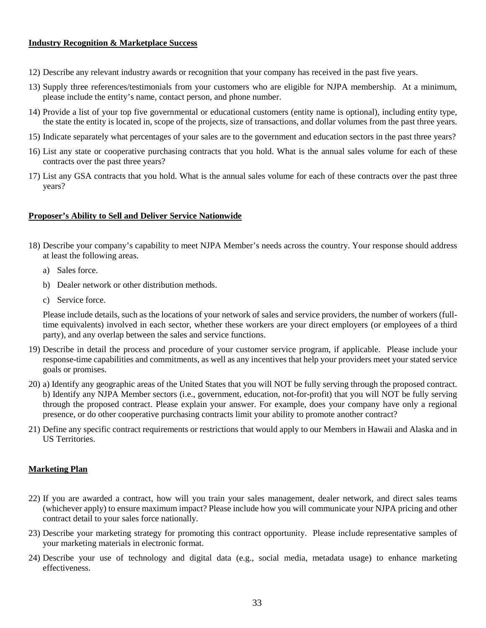#### **Industry Recognition & Marketplace Success**

- 12) Describe any relevant industry awards or recognition that your company has received in the past five years.
- 13) Supply three references/testimonials from your customers who are eligible for NJPA membership. At a minimum, please include the entity's name, contact person, and phone number.
- 14) Provide a list of your top five governmental or educational customers (entity name is optional), including entity type, the state the entity is located in, scope of the projects, size of transactions, and dollar volumes from the past three years.
- 15) Indicate separately what percentages of your sales are to the government and education sectors in the past three years?
- 16) List any state or cooperative purchasing contracts that you hold. What is the annual sales volume for each of these contracts over the past three years?
- 17) List any GSA contracts that you hold. What is the annual sales volume for each of these contracts over the past three years?

#### **Proposer's Ability to Sell and Deliver Service Nationwide**

- 18) Describe your company's capability to meet NJPA Member's needs across the country. Your response should address at least the following areas.
	- a) Sales force.
	- b) Dealer network or other distribution methods.
	- c) Service force.

Please include details, such as the locations of your network of sales and service providers, the number of workers (fulltime equivalents) involved in each sector, whether these workers are your direct employers (or employees of a third party), and any overlap between the sales and service functions.

- 19) Describe in detail the process and procedure of your customer service program, if applicable. Please include your response-time capabilities and commitments, as well as any incentives that help your providers meet your stated service goals or promises.
- 20) a) Identify any geographic areas of the United States that you will NOT be fully serving through the proposed contract. b) Identify any NJPA Member sectors (i.e., government, education, not-for-profit) that you will NOT be fully serving through the proposed contract. Please explain your answer. For example, does your company have only a regional presence, or do other cooperative purchasing contracts limit your ability to promote another contract?
- 21) Define any specific contract requirements or restrictions that would apply to our Members in Hawaii and Alaska and in US Territories.

#### **Marketing Plan**

- 22) If you are awarded a contract, how will you train your sales management, dealer network, and direct sales teams (whichever apply) to ensure maximum impact? Please include how you will communicate your NJPA pricing and other contract detail to your sales force nationally.
- 23) Describe your marketing strategy for promoting this contract opportunity. Please include representative samples of your marketing materials in electronic format.
- 24) Describe your use of technology and digital data (e.g., social media, metadata usage) to enhance marketing effectiveness.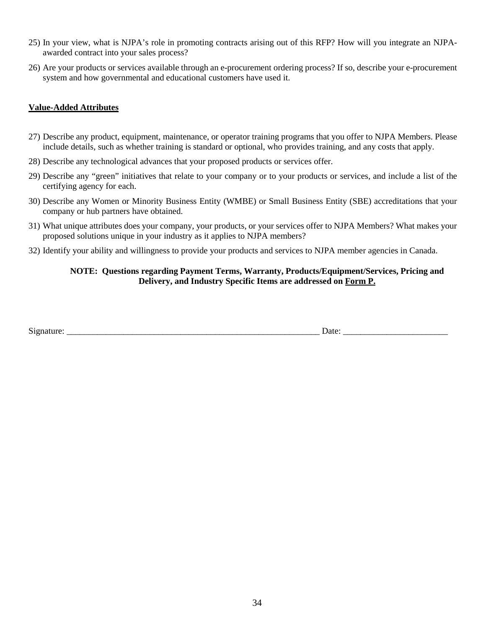- 25) In your view, what is NJPA's role in promoting contracts arising out of this RFP? How will you integrate an NJPAawarded contract into your sales process?
- 26) Are your products or services available through an e-procurement ordering process? If so, describe your e-procurement system and how governmental and educational customers have used it.

# **Value-Added Attributes**

- 27) Describe any product, equipment, maintenance, or operator training programs that you offer to NJPA Members. Please include details, such as whether training is standard or optional, who provides training, and any costs that apply.
- 28) Describe any technological advances that your proposed products or services offer.
- 29) Describe any "green" initiatives that relate to your company or to your products or services, and include a list of the certifying agency for each.
- 30) Describe any Women or Minority Business Entity (WMBE) or Small Business Entity (SBE) accreditations that your company or hub partners have obtained.
- 31) What unique attributes does your company, your products, or your services offer to NJPA Members? What makes your proposed solutions unique in your industry as it applies to NJPA members?
- 32) Identify your ability and willingness to provide your products and services to NJPA member agencies in Canada.

# **NOTE: Questions regarding Payment Terms, Warranty, Products/Equipment/Services, Pricing and Delivery, and Industry Specific Items are addressed on Form P.**

| . .<br>$\ddotsc$ | $\sim$ |      |
|------------------|--------|------|
|                  |        | Jate |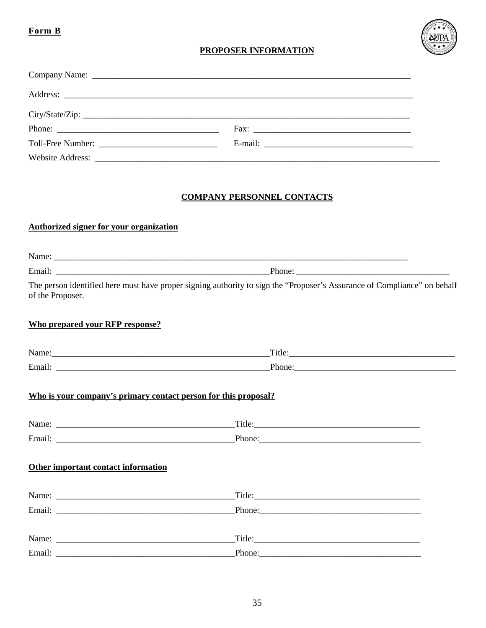# Form B



# **PROPOSER INFORMATION**

| City/State/Zip:                   |
|-----------------------------------|
|                                   |
|                                   |
|                                   |
|                                   |
| <b>COMPANY PERSONNEL CONTACTS</b> |

# **Authorized signer for your organization**

| of the Proposer.                       | The person identified here must have proper signing authority to sign the "Proposer's Assurance of Compliance" on behalf                                                                                                                                                                                                                                                                                                                                         |
|----------------------------------------|------------------------------------------------------------------------------------------------------------------------------------------------------------------------------------------------------------------------------------------------------------------------------------------------------------------------------------------------------------------------------------------------------------------------------------------------------------------|
| <b>Who prepared your RFP response?</b> |                                                                                                                                                                                                                                                                                                                                                                                                                                                                  |
|                                        | $\Gamma$ itle: $\Gamma$                                                                                                                                                                                                                                                                                                                                                                                                                                          |
|                                        |                                                                                                                                                                                                                                                                                                                                                                                                                                                                  |
|                                        | Who is your company's primary contact person for this proposal?                                                                                                                                                                                                                                                                                                                                                                                                  |
|                                        |                                                                                                                                                                                                                                                                                                                                                                                                                                                                  |
|                                        |                                                                                                                                                                                                                                                                                                                                                                                                                                                                  |
| Other important contact information    |                                                                                                                                                                                                                                                                                                                                                                                                                                                                  |
|                                        | $\boxed{\text{Title:}\n \quad \text{}\n \quad \text{}\n \quad \text{}\n \quad \text{}\n \quad \text{}\n \quad \text{}\n \quad \text{}\n \quad \text{}\n \quad \text{}\n \quad \text{}\n \quad \text{}\n \quad \text{}\n \quad \text{}\n \quad \text{}\n \quad \text{}\n \quad \text{}\n \quad \text{}\n \quad \text{}\n \quad \text{}\n \quad \text{}\n \quad \text{}\n \quad \text{}\n \quad \text{}\n \quad \text{}\n \quad \text{}\n \quad \text{}\n \quad \$ |
|                                        |                                                                                                                                                                                                                                                                                                                                                                                                                                                                  |
|                                        | $\boxed{\text{Title:}}$                                                                                                                                                                                                                                                                                                                                                                                                                                          |
|                                        | Phone:                                                                                                                                                                                                                                                                                                                                                                                                                                                           |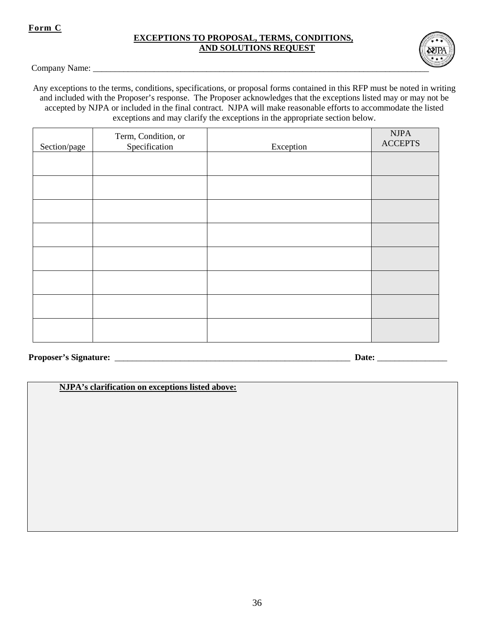# **Form C**

## **EXCEPTIONS TO PROPOSAL, TERMS, CONDITIONS, AND SOLUTIONS REQUEST**



Company Name: \_\_\_\_\_\_\_\_\_\_\_\_\_\_\_\_\_\_\_\_\_\_\_\_\_\_\_\_\_\_\_\_\_\_\_\_\_\_\_\_\_\_\_\_\_\_\_\_\_\_\_\_\_\_\_\_\_\_\_\_\_\_\_\_\_\_\_\_\_\_\_\_\_\_\_\_\_

Any exceptions to the terms, conditions, specifications, or proposal forms contained in this RFP must be noted in writing and included with the Proposer's response. The Proposer acknowledges that the exceptions listed may or may not be accepted by NJPA or included in the final contract. NJPA will make reasonable efforts to accommodate the listed exceptions and may clarify the exceptions in the appropriate section below.

| Section/page | Term, Condition, or<br>Specification | Exception | <b>NJPA</b><br><b>ACCEPTS</b> |
|--------------|--------------------------------------|-----------|-------------------------------|
|              |                                      |           |                               |
|              |                                      |           |                               |
|              |                                      |           |                               |
|              |                                      |           |                               |
|              |                                      |           |                               |
|              |                                      |           |                               |
|              |                                      |           |                               |
|              |                                      |           |                               |

**Proposer's Signature:** \_\_\_\_\_\_\_\_\_\_\_\_\_\_\_\_\_\_\_\_\_\_\_\_\_\_\_\_\_\_\_\_\_\_\_\_\_\_\_\_\_\_\_\_\_\_\_\_\_\_\_\_\_\_ **Date:** \_\_\_\_\_\_\_\_\_\_\_\_\_\_\_\_

**NJPA's clarification on exceptions listed above:**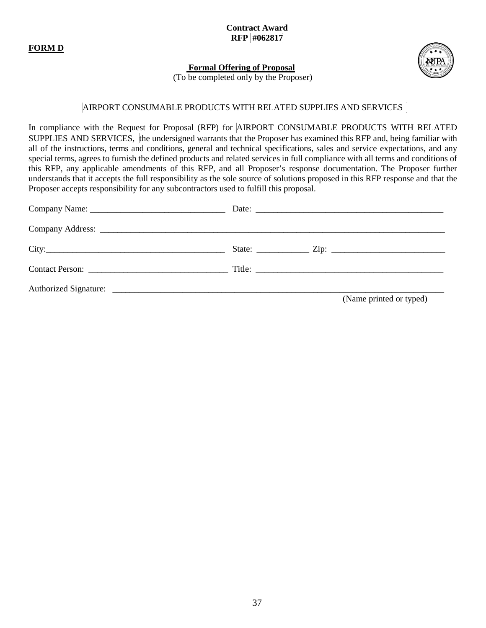**FORM D**

**Contract Award RFP #062817**



 **Formal Offering of Proposal**

(To be completed only by the Proposer)

# AIRPORT CONSUMABLE PRODUCTS WITH RELATED SUPPLIES AND SERVICES

In compliance with the Request for Proposal (RFP) for AIRPORT CONSUMABLE PRODUCTS WITH RELATED SUPPLIES AND SERVICES, the undersigned warrants that the Proposer has examined this RFP and, being familiar with all of the instructions, terms and conditions, general and technical specifications, sales and service expectations, and any special terms, agrees to furnish the defined products and related services in full compliance with all terms and conditions of this RFP, any applicable amendments of this RFP, and all Proposer's response documentation. The Proposer further understands that it accepts the full responsibility as the sole source of solutions proposed in this RFP response and that the Proposer accepts responsibility for any subcontractors used to fulfill this proposal.

|  | (Name printed or typed) |
|--|-------------------------|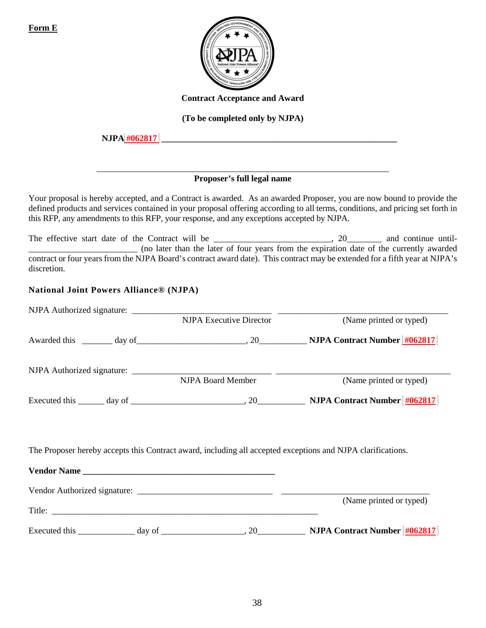

**Contract Acceptance and Award** 

**(To be completed only by NJPA)**

 **NJPA #062817 \_\_\_\_\_\_\_\_\_\_\_\_\_\_\_\_\_\_\_\_\_\_\_\_\_\_\_\_\_\_\_\_\_\_\_\_\_\_\_\_\_\_\_\_\_\_\_\_\_\_\_\_\_\_**

#### \_\_\_\_\_\_\_\_\_\_\_\_\_\_\_\_\_\_\_\_\_\_\_\_\_\_\_\_\_\_\_\_\_\_\_\_\_\_\_\_\_\_\_\_\_\_\_\_\_\_\_\_\_\_\_\_\_\_\_\_\_\_\_\_\_\_\_ **Proposer's full legal name**

Your proposal is hereby accepted, and a Contract is awarded. As an awarded Proposer, you are now bound to provide the defined products and services contained in your proposal offering according to all terms, conditions, and pricing set forth in this RFP, any amendments to this RFP, your response, and any exceptions accepted by NJPA.

The effective start date of the Contract will be \_\_\_\_\_\_\_\_\_\_\_\_\_\_\_\_\_\_\_\_\_\_, 20\_\_\_\_\_\_\_\_ and continue until-\_\_\_\_\_\_\_\_\_\_\_\_\_\_\_\_\_\_\_\_\_\_\_\_\_ (no later than the later of four years from the expiration date of the currently awarded contract or four years from the NJPA Board's contract award date). This contract may be extended for a fifth year at NJPA's discretion.

# **National Joint Powers Alliance® (NJPA)**

| <b>NJPA Executive Director</b>                                                                              | (Name printed or typed)                                                                                             |
|-------------------------------------------------------------------------------------------------------------|---------------------------------------------------------------------------------------------------------------------|
|                                                                                                             |                                                                                                                     |
|                                                                                                             |                                                                                                                     |
| NJPA Board Member                                                                                           | (Name printed or typed)                                                                                             |
|                                                                                                             | Executed this $\_\_\_\_$ day of $\_\_\_\_\_\_$ , 20 $\_\_\_\_\_\_$ NJPA Contract Number $\frac{\#062817}{\#062817}$ |
| The Proposer hereby accepts this Contract award, including all accepted exceptions and NJPA clarifications. |                                                                                                                     |
|                                                                                                             |                                                                                                                     |
|                                                                                                             |                                                                                                                     |
|                                                                                                             | (Name printed or typed)                                                                                             |
|                                                                                                             |                                                                                                                     |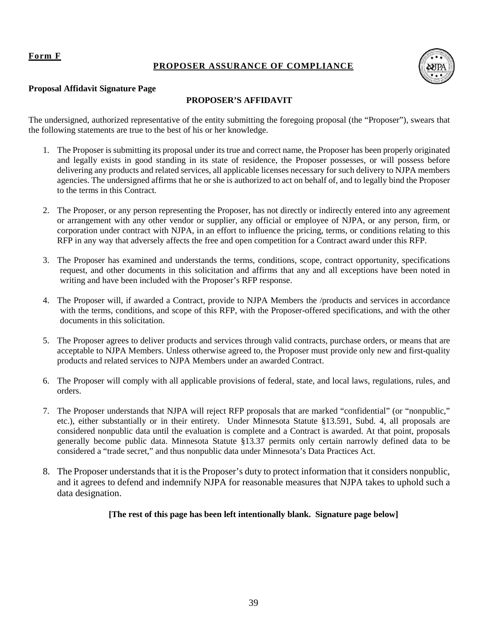# **Form F**

# **PROPOSER ASSURANCE OF COMPLIANCE**



#### **Proposal Affidavit Signature Page**

# **PROPOSER'S AFFIDAVIT**

The undersigned, authorized representative of the entity submitting the foregoing proposal (the "Proposer"), swears that the following statements are true to the best of his or her knowledge.

- 1. The Proposer is submitting its proposal under its true and correct name, the Proposer has been properly originated and legally exists in good standing in its state of residence, the Proposer possesses, or will possess before delivering any products and related services, all applicable licenses necessary for such delivery to NJPA members agencies. The undersigned affirms that he or she is authorized to act on behalf of, and to legally bind the Proposer to the terms in this Contract.
- 2. The Proposer, or any person representing the Proposer, has not directly or indirectly entered into any agreement or arrangement with any other vendor or supplier, any official or employee of NJPA, or any person, firm, or corporation under contract with NJPA, in an effort to influence the pricing, terms, or conditions relating to this RFP in any way that adversely affects the free and open competition for a Contract award under this RFP.
- 3. The Proposer has examined and understands the terms, conditions, scope, contract opportunity, specifications request, and other documents in this solicitation and affirms that any and all exceptions have been noted in writing and have been included with the Proposer's RFP response.
- 4. The Proposer will, if awarded a Contract, provide to NJPA Members the /products and services in accordance with the terms, conditions, and scope of this RFP, with the Proposer-offered specifications, and with the other documents in this solicitation.
- 5. The Proposer agrees to deliver products and services through valid contracts, purchase orders, or means that are acceptable to NJPA Members. Unless otherwise agreed to, the Proposer must provide only new and first-quality products and related services to NJPA Members under an awarded Contract.
- 6. The Proposer will comply with all applicable provisions of federal, state, and local laws, regulations, rules, and orders.
- 7. The Proposer understands that NJPA will reject RFP proposals that are marked "confidential" (or "nonpublic," etc.), either substantially or in their entirety. Under Minnesota Statute §13.591, Subd. 4, all proposals are considered nonpublic data until the evaluation is complete and a Contract is awarded. At that point, proposals generally become public data. Minnesota Statute §13.37 permits only certain narrowly defined data to be considered a "trade secret," and thus nonpublic data under Minnesota's Data Practices Act.
- 8. The Proposer understands that it is the Proposer's duty to protect information that it considers nonpublic, and it agrees to defend and indemnify NJPA for reasonable measures that NJPA takes to uphold such a data designation.

# **[The rest of this page has been left intentionally blank. Signature page below]**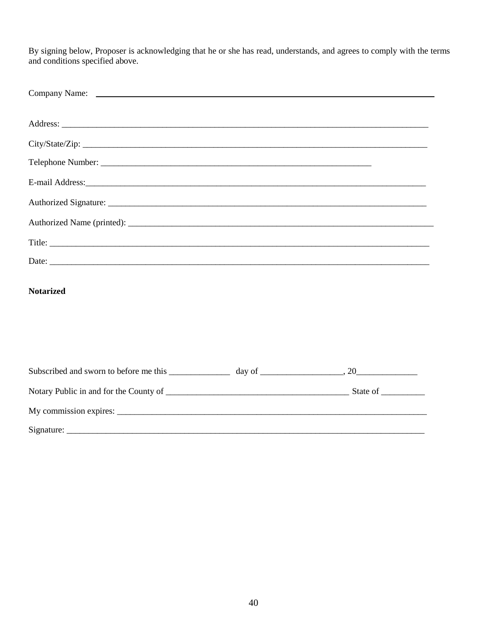By signing below, Proposer is acknowledging that he or she has read, understands, and agrees to comply with the terms and conditions specified above.

| City/State/Zip:  |  |
|------------------|--|
|                  |  |
|                  |  |
|                  |  |
|                  |  |
|                  |  |
|                  |  |
| <b>Notarized</b> |  |
|                  |  |
|                  |  |
|                  |  |
|                  |  |
| Signature:       |  |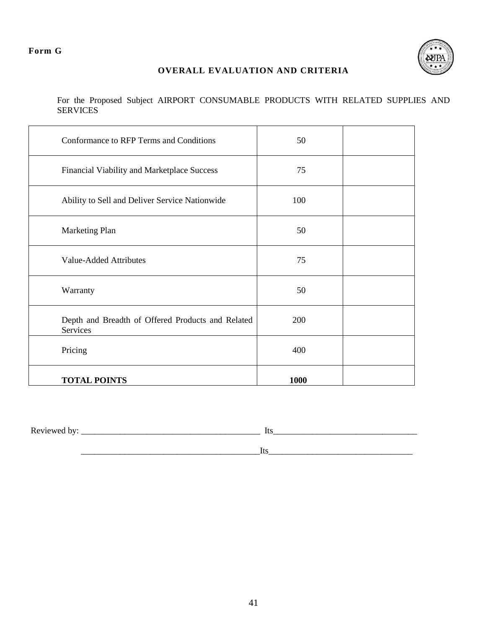# **Form G**



# **OVERALL EVALUATION AND CRITERIA**

For the Proposed Subject AIRPORT CONSUMABLE PRODUCTS WITH RELATED SUPPLIES AND SERVICES

| Conformance to RFP Terms and Conditions                       | 50   |  |
|---------------------------------------------------------------|------|--|
| Financial Viability and Marketplace Success                   | 75   |  |
| Ability to Sell and Deliver Service Nationwide                | 100  |  |
| Marketing Plan                                                | 50   |  |
| <b>Value-Added Attributes</b>                                 | 75   |  |
| Warranty                                                      | 50   |  |
| Depth and Breadth of Offered Products and Related<br>Services | 200  |  |
| Pricing                                                       | 400  |  |
| <b>TOTAL POINTS</b>                                           | 1000 |  |

Reviewed by: \_\_\_\_\_\_\_\_\_\_\_\_\_\_\_\_\_\_\_\_\_\_\_\_\_\_\_\_\_\_\_\_\_\_\_\_\_\_\_\_\_ Its\_\_\_\_\_\_\_\_\_\_\_\_\_\_\_\_\_\_\_\_\_\_\_\_\_\_\_\_\_\_\_\_\_

\_\_\_\_\_\_\_\_\_\_\_\_\_\_\_\_\_\_\_\_\_\_\_\_\_\_\_\_\_\_\_\_\_\_\_\_\_\_\_\_\_Its\_\_\_\_\_\_\_\_\_\_\_\_\_\_\_\_\_\_\_\_\_\_\_\_\_\_\_\_\_\_\_\_\_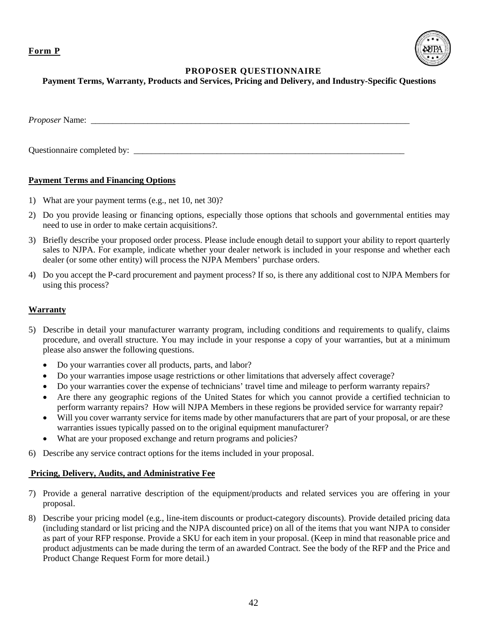**Form P**



# **PROPOSER QUESTIONNAIRE**

## **Payment Terms, Warranty, Products and Services, Pricing and Delivery, and Industry-Specific Questions**

*Proposer* Name: \_\_\_\_\_\_\_\_\_\_\_\_\_\_\_\_\_\_\_\_\_\_\_\_\_\_\_\_\_\_\_\_\_\_\_\_\_\_\_\_\_\_\_\_\_\_\_\_\_\_\_\_\_\_\_\_\_\_\_\_\_\_\_\_\_\_\_\_\_\_\_\_\_

Questionnaire completed by:

# **Payment Terms and Financing Options**

- 1) What are your payment terms (e.g., net 10, net 30)?
- 2) Do you provide leasing or financing options, especially those options that schools and governmental entities may need to use in order to make certain acquisitions?*.*
- 3) Briefly describe your proposed order process. Please include enough detail to support your ability to report quarterly sales to NJPA. For example, indicate whether your dealer network is included in your response and whether each dealer (or some other entity) will process the NJPA Members' purchase orders.
- 4) Do you accept the P-card procurement and payment process? If so, is there any additional cost to NJPA Members for using this process?

## **Warranty**

- 5) Describe in detail your manufacturer warranty program, including conditions and requirements to qualify, claims procedure, and overall structure. You may include in your response a copy of your warranties, but at a minimum please also answer the following questions.
	- Do your warranties cover all products, parts, and labor?
	- Do your warranties impose usage restrictions or other limitations that adversely affect coverage?
	- Do your warranties cover the expense of technicians' travel time and mileage to perform warranty repairs?
	- Are there any geographic regions of the United States for which you cannot provide a certified technician to perform warranty repairs? How will NJPA Members in these regions be provided service for warranty repair?
	- Will you cover warranty service for items made by other manufacturers that are part of your proposal, or are these warranties issues typically passed on to the original equipment manufacturer?
	- What are your proposed exchange and return programs and policies?
- 6) Describe any service contract options for the items included in your proposal.

#### **Pricing, Delivery, Audits, and Administrative Fee**

- 7) Provide a general narrative description of the equipment/products and related services you are offering in your proposal.
- 8) Describe your pricing model (e.g., line-item discounts or product-category discounts). Provide detailed pricing data (including standard or list pricing and the NJPA discounted price) on all of the items that you want NJPA to consider as part of your RFP response. Provide a SKU for each item in your proposal. (Keep in mind that reasonable price and product adjustments can be made during the term of an awarded Contract. See the body of the RFP and the Price and Product Change Request Form for more detail.)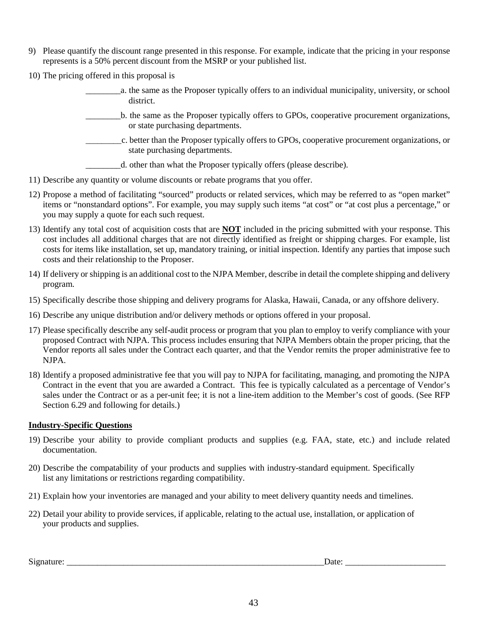- 9) Please quantify the discount range presented in this response. For example, indicate that the pricing in your response represents is a 50% percent discount from the MSRP or your published list.
- 10) The pricing offered in this proposal is
	- \_\_\_\_\_\_\_\_a. the same as the Proposer typically offers to an individual municipality, university, or school district.
	- \_\_\_\_\_\_\_\_b. the same as the Proposer typically offers to GPOs, cooperative procurement organizations, or state purchasing departments.
	- \_\_\_\_\_\_\_\_\_c. better than the Proposer typically offers to GPOs, cooperative procurement organizations, or state purchasing departments.
		- \_\_\_\_\_\_\_\_d. other than what the Proposer typically offers (please describe).
- 11) Describe any quantity or volume discounts or rebate programs that you offer.
- 12) Propose a method of facilitating "sourced" products or related services, which may be referred to as "open market" items or "nonstandard options". For example, you may supply such items "at cost" or "at cost plus a percentage," or you may supply a quote for each such request.
- 13) Identify any total cost of acquisition costs that are **NOT** included in the pricing submitted with your response. This cost includes all additional charges that are not directly identified as freight or shipping charges. For example, list costs for items like installation, set up, mandatory training, or initial inspection. Identify any parties that impose such costs and their relationship to the Proposer.
- 14) If delivery or shipping is an additional cost to the NJPA Member, describe in detail the complete shipping and delivery program.
- 15) Specifically describe those shipping and delivery programs for Alaska, Hawaii, Canada, or any offshore delivery.
- 16) Describe any unique distribution and/or delivery methods or options offered in your proposal.
- 17) Please specifically describe any self-audit process or program that you plan to employ to verify compliance with your proposed Contract with NJPA. This process includes ensuring that NJPA Members obtain the proper pricing, that the Vendor reports all sales under the Contract each quarter, and that the Vendor remits the proper administrative fee to NJPA.
- 18) Identify a proposed administrative fee that you will pay to NJPA for facilitating, managing, and promoting the NJPA Contract in the event that you are awarded a Contract. This fee is typically calculated as a percentage of Vendor's sales under the Contract or as a per-unit fee; it is not a line-item addition to the Member's cost of goods. (See RFP Section 6.29 and following for details.)

#### **Industry-Specific Questions**

- 19) Describe your ability to provide compliant products and supplies (e.g. FAA, state, etc.) and include related documentation.
- 20) Describe the compatability of your products and supplies with industry-standard equipment. Specifically list any limitations or restrictions regarding compatibility.
- 21) Explain how your inventories are managed and your ability to meet delivery quantity needs and timelines.
- 22) Detail your ability to provide services, if applicable, relating to the actual use, installation, or application of your products and supplies.

Signature: \_\_\_\_\_\_\_\_\_\_\_\_\_\_\_\_\_\_\_\_\_\_\_\_\_\_\_\_\_\_\_\_\_\_\_\_\_\_\_\_\_\_\_\_\_\_\_\_\_\_\_\_\_\_\_\_\_\_\_Date: \_\_\_\_\_\_\_\_\_\_\_\_\_\_\_\_\_\_\_\_\_\_\_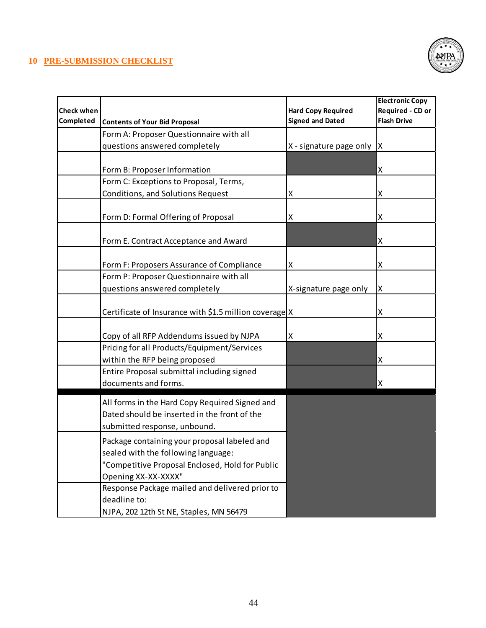# **10 PRE-SUBMISSION CHECKLIST**



|                   |                                                        |                           | <b>Electronic Copy</b> |
|-------------------|--------------------------------------------------------|---------------------------|------------------------|
| <b>Check when</b> |                                                        | <b>Hard Copy Required</b> | Required - CD or       |
| Completed         | <b>Contents of Your Bid Proposal</b>                   | <b>Signed and Dated</b>   | <b>Flash Drive</b>     |
|                   | Form A: Proposer Questionnaire with all                |                           |                        |
|                   | questions answered completely                          | X - signature page only   | X                      |
|                   |                                                        |                           |                        |
|                   | Form B: Proposer Information                           |                           | Χ                      |
|                   | Form C: Exceptions to Proposal, Terms,                 |                           |                        |
|                   | Conditions, and Solutions Request                      | Χ                         | X                      |
|                   |                                                        |                           |                        |
|                   | Form D: Formal Offering of Proposal                    | Χ                         | Χ                      |
|                   |                                                        |                           |                        |
|                   | Form E. Contract Acceptance and Award                  |                           | Χ                      |
|                   |                                                        |                           |                        |
|                   | Form F: Proposers Assurance of Compliance              | Χ                         | Χ                      |
|                   | Form P: Proposer Questionnaire with all                |                           |                        |
|                   | questions answered completely                          | X-signature page only     | Χ                      |
|                   |                                                        |                           |                        |
|                   | Certificate of Insurance with \$1.5 million coverage X |                           | X                      |
|                   |                                                        |                           |                        |
|                   | Copy of all RFP Addendums issued by NJPA               | Χ                         | Χ                      |
|                   | Pricing for all Products/Equipment/Services            |                           |                        |
|                   | within the RFP being proposed                          |                           | Χ                      |
|                   | Entire Proposal submittal including signed             |                           |                        |
|                   | documents and forms.                                   |                           | Χ                      |
|                   | All forms in the Hard Copy Required Signed and         |                           |                        |
|                   | Dated should be inserted in the front of the           |                           |                        |
|                   | submitted response, unbound.                           |                           |                        |
|                   | Package containing your proposal labeled and           |                           |                        |
|                   | sealed with the following language:                    |                           |                        |
|                   | "Competitive Proposal Enclosed, Hold for Public        |                           |                        |
|                   | Opening XX-XX-XXXX"                                    |                           |                        |
|                   | Response Package mailed and delivered prior to         |                           |                        |
|                   | deadline to:                                           |                           |                        |
|                   | NJPA, 202 12th St NE, Staples, MN 56479                |                           |                        |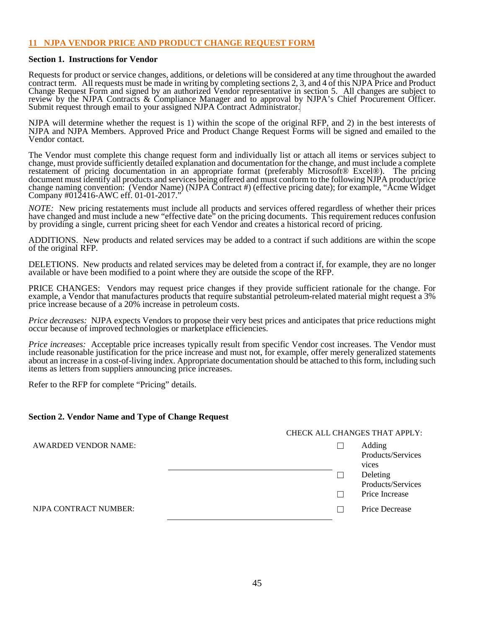#### **11 NJPA VENDOR PRICE AND PRODUCT CHANGE REQUEST FORM**

#### **Section 1. Instructions for Vendor**

Requests for product or service changes, additions, or deletions will be considered at any time throughout the awarded contract term. All requests must be made in writing by completing sections 2, 3, and 4 of this NJPA Price and Product Change Request Form and signed by an authorized Vendor representative in section 5. All changes are subject to review by the NJPA Contracts & Compliance Manager and to approval by NJPA's Chief Procurement Officer. Submit request through email to your assigned NJPA Contract Administrator.

NJPA will determine whether the request is 1) within the scope of the original RFP, and 2) in the best interests of NJPA and NJPA Members. Approved Price and Product Change Request Forms will be signed and emailed to the Vendor contact.

The Vendor must complete this change request form and individually list or attach all items or services subject to change, must provide sufficiently detailed explanation and documentation for the change, and must include a complete restatement of pricing documentation in an appropriate format (preferably Microsoft® Excel®). The pricing document must identify all products and services being offered and must conform to the following NJPA product/price change naming convention: (Vendor Name) (NJPA Contract #) (effective pricing date); for example, "Acme Widget Company #012416-AWC eff. 01-01-2017."

*NOTE:* New pricing restatements must include all products and services offered regardless of whether their prices have changed and must include a new "effective date" on the pricing documents. This requirement reduces confusion by providing a single, current pricing sheet for each Vendor and creates a historical record of pricing.

ADDITIONS. New products and related services may be added to a contract if such additions are within the scope of the original RFP.

DELETIONS. New products and related services may be deleted from a contract if, for example, they are no longer available or have been modified to a point where they are outside the scope of the RFP.

PRICE CHANGES: Vendors may request price changes if they provide sufficient rationale for the change. For example, a Vendor that manufactures products that require substantial petroleum-related material might request a 3% price increase because of a 20% increase in petroleum costs.

*Price decreases:* NJPA expects Vendors to propose their very best prices and anticipates that price reductions might occur because of improved technologies or marketplace efficiencies.

*Price increases:* Acceptable price increases typically result from specific Vendor cost increases. The Vendor must include reasonable justification for the price increase and must not, for example, offer merely generalized statements about an increase in a cost-of-living index. Appropriate documentation should be attached to this form, including such items as letters from suppliers announcing price increases.

Refer to the RFP for complete "Pricing" details.

#### **Section 2. Vendor Name and Type of Change Request**

|                             |  | <b>CHECK ALL CHANGES THAT APPLY:</b> |
|-----------------------------|--|--------------------------------------|
| <b>AWARDED VENDOR NAME:</b> |  | Adding<br>Products/Services<br>vices |
|                             |  | Deleting<br>Products/Services        |
|                             |  | Price Increase                       |
| NJPA CONTRACT NUMBER:       |  | <b>Price Decrease</b>                |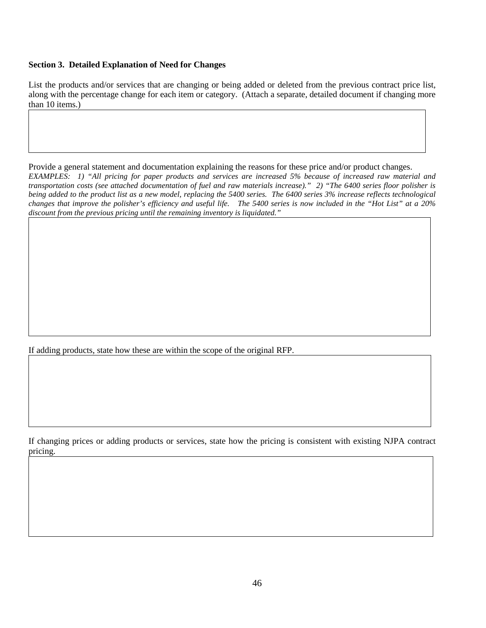#### **Section 3. Detailed Explanation of Need for Changes**

List the products and/or services that are changing or being added or deleted from the previous contract price list, along with the percentage change for each item or category. (Attach a separate, detailed document if changing more than 10 items.)

Provide a general statement and documentation explaining the reasons for these price and/or product changes. *EXAMPLES: 1) "All pricing for paper products and services are increased 5% because of increased raw material and transportation costs (see attached documentation of fuel and raw materials increase)." 2) "The 6400 series floor polisher is being added to the product list as a new model, replacing the 5400 series. The 6400 series 3% increase reflects technological changes that improve the polisher's efficiency and useful life. The 5400 series is now included in the "Hot List" at a 20% discount from the previous pricing until the remaining inventory is liquidated."*

If adding products, state how these are within the scope of the original RFP.

If changing prices or adding products or services, state how the pricing is consistent with existing NJPA contract pricing.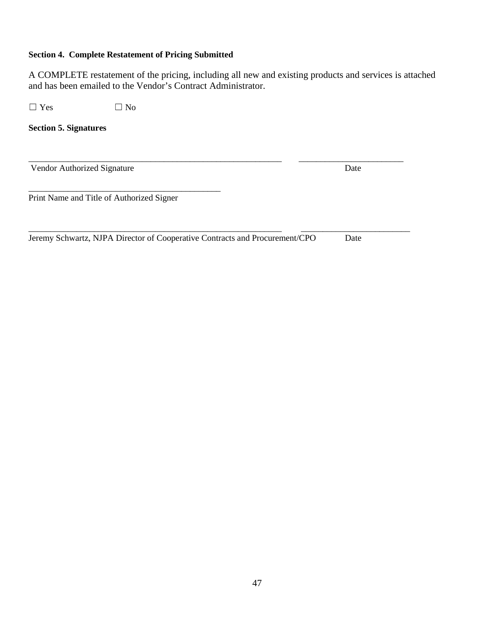# **Section 4. Complete Restatement of Pricing Submitted**

A COMPLETE restatement of the pricing, including all new and existing products and services is attached and has been emailed to the Vendor's Contract Administrator.

 $\Box$  Yes  $\Box$  No

**Section 5. Signatures**

\_\_\_\_\_\_\_\_\_\_\_\_\_\_\_\_\_\_\_\_\_\_\_\_\_\_\_\_\_\_\_\_\_\_\_\_\_\_\_\_\_\_\_\_\_\_\_\_\_\_\_\_\_\_\_\_\_\_ \_\_\_\_\_\_\_\_\_\_\_\_\_\_\_\_\_\_\_\_\_\_\_\_ Vendor Authorized Signature Date

Print Name and Title of Authorized Signer

\_\_\_\_\_\_\_\_\_\_\_\_\_\_\_\_\_\_\_\_\_\_\_\_\_\_\_\_\_\_\_\_\_\_\_\_\_\_\_\_\_\_\_\_

\_\_\_\_\_\_\_\_\_\_\_\_\_\_\_\_\_\_\_\_\_\_\_\_\_\_\_\_\_\_\_\_\_\_\_\_\_\_\_\_\_\_\_\_\_\_\_\_\_\_\_\_\_\_\_\_\_\_ \_\_\_\_\_\_\_\_\_\_\_\_\_\_\_\_\_\_\_\_\_\_\_\_\_ Jeremy Schwartz, NJPA Director of Cooperative Contracts and Procurement/CPO Date